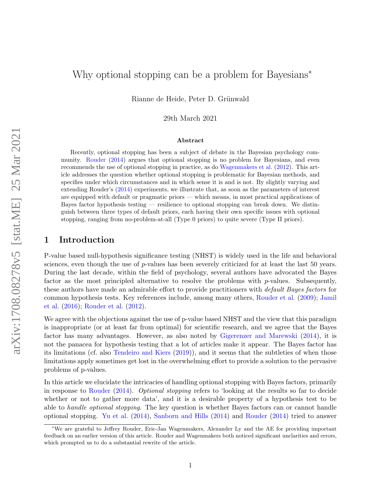# Why optional stopping can be a problem for Bayesians<sup>∗</sup>

Rianne de Heide, Peter D. Grünwald

29th March 2021

#### Abstract

Recently, optional stopping has been a subject of debate in the Bayesian psychology community. [Rouder](#page-24-0) [\(2014\)](#page-24-0) argues that optional stopping is no problem for Bayesians, and even recommends the use of optional stopping in practice, as do [Wagenmakers et al.](#page-25-0) [\(2012\)](#page-25-0). This article addresses the question whether optional stopping is problematic for Bayesian methods, and specifies under which circumstances and in which sense it is and is not. By slightly varying and extending Rouder's [\(2014\)](#page-24-0) experiments, we illustrate that, as soon as the parameters of interest are equipped with default or pragmatic priors — which means, in most practical applications of Bayes factor hypothesis testing — resilience to optional stopping can break down. We distinguish between three types of default priors, each having their own specific issues with optional stopping, ranging from no-problem-at-all (Type 0 priors) to quite severe (Type II priors).

# 1 Introduction

P-value based null-hypothesis significance testing (NHST) is widely used in the life and behavioral sciences, even though the use of  $p$ -values has been severely criticized for at least the last 50 years. During the last decade, within the field of psychology, several authors have advocated the Bayes factor as the most principled alternative to resolve the problems with  $p$ -values. Subsequently, these authors have made an admirable effort to provide practitioners with *default Bayes factors* for common hypothesis tests. Key references include, among many others, [Rouder et al.](#page-24-1) [\(2009\)](#page-24-1); [Jamil](#page-24-2) [et al.](#page-24-2) [\(2016\)](#page-24-2); [Rouder et al.](#page-25-1) [\(2012\)](#page-25-1).

We agree with the objections against the use of p-value based NHST and the view that this paradigm is inappropriate (or at least far from optimal) for scientific research, and we agree that the Bayes factor has many advantages. However, as also noted by [Gigerenzer and Marewski](#page-23-0) [\(2014\)](#page-23-0), it is not the panacea for hypothesis testing that a lot of articles make it appear. The Bayes factor has its limitations (cf. also [Tendeiro and Kiers](#page-25-2) [\(2019\)](#page-25-2)), and it seems that the subtleties of when those limitations apply sometimes get lost in the overwhelming effort to provide a solution to the pervasive problems of p-values.

In this article we elucidate the intricacies of handling optional stopping with Bayes factors, primarily in response to [Rouder](#page-24-0) [\(2014\)](#page-24-0). Optional stopping refers to 'looking at the results so far to decide whether or not to gather more data', and it is a desirable property of a hypothesis test to be able to handle optional stopping. The key question is whether Bayes factors can or cannot handle optional stopping. [Yu et al.](#page-25-3) [\(2014\)](#page-25-3), [Sanborn and Hills](#page-25-4) [\(2014\)](#page-25-4) and [Rouder](#page-24-0) [\(2014\)](#page-24-0) tried to answer

<sup>∗</sup>We are grateful to Jeffrey Rouder, Eric-Jan Wagenmakers, Alexander Ly and the AE for providing important feedback on an earlier version of this article. Rouder and Wagenmakers both noticed significant unclarities and errors, which prompted us to do a substantial rewrite of the article.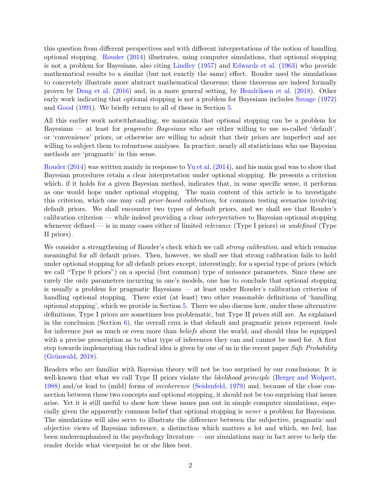this question from different perspectives and with different interpretations of the notion of handling optional stopping. [Rouder](#page-24-0) [\(2014\)](#page-24-0) illustrates, using computer simulations, that optional stopping is not a problem for Bayesians, also citing [Lindley](#page-24-3) [\(1957\)](#page-24-3) and [Edwards et al.](#page-23-1) [\(1963\)](#page-23-1) who provide mathematical results to a similar (but not exactly the same) effect. Rouder used the simulations to concretely illustrate more abstract mathematical theorems; these theorems are indeed formally proven by [Deng et al.](#page-23-2) [\(2016\)](#page-23-2) and, in a more general setting, by [Hendriksen et al.](#page-24-4) [\(2018\)](#page-24-4). Other early work indicating that optional stopping is not a problem for Bayesians includes [Savage](#page-25-5) [\(1972\)](#page-25-5) and [Good](#page-23-3) [\(1991\)](#page-23-3). We briefly return to all of these in Section [5.](#page-17-0)

All this earlier work notwithstanding, we maintain that optional stopping can be a problem for Bayesians — at least for *pragmatic Bayesians* who are either willing to use so-called 'default', or 'convenience' priors, or otherwise are willing to admit that their priors are imperfect and are willing to subject them to robustness analyses. In practice, nearly all statisticians who use Bayesian methods are 'pragmatic' in this sense.

[Rouder](#page-24-0) [\(2014\)](#page-24-0) was written mainly in response to [Yu et al.](#page-25-3) [\(2014\)](#page-25-3), and his main goal was to show that Bayesian procedures retain a clear interpretation under optional stopping. He presents a criterion which, if it holds for a given Bayesian method, indicates that, in some specific sense, it performs as one would hope under optional stopping. The main content of this article is to investigate this criterion, which one may call prior-based calibration, for common testing scenarios involving default priors. We shall encounter two types of default priors, and we shall see that Rouder's calibration criterion — while indeed providing a clear *interpretation* to Bayesian optional stopping whenever defined — is in many cases either of limited *relevance* (Type I priors) or *undefined* (Type II priors).

We consider a strengthening of Rouder's check which we call *strong calibration*, and which remains meaningful for all default priors. Then, however, we shall see that strong calibration fails to hold under optional stopping for all default priors except, interestingly, for a special type of priors (which we call "Type 0 priors") on a special (but common) type of nuisance parameters. Since these are rarely the only parameters incurring in one's models, one has to conclude that optional stopping is usually a problem for pragmatic Bayesians — at least under Rouder's calibration criterion of handling optional stopping. There exist (at least) two other reasonable definitions of 'handling optional stopping', which we provide in Section [5.](#page-17-0) There we also discuss how, under these alternative definitions, Type I priors are sometimes less problematic, but Type II priors still are. As explained in the conclusion (Section [6\)](#page-20-0), the overall crux is that default and pragmatic priors represent *tools* for inference just as much or even more than *beliefs* about the world, and should thus be equipped with a precise prescription as to what type of inferences they can and cannot be used for. A first step towards implementing this radical idea is given by one of us in the recent paper Safe Probability  $(Griunwald, 2018).$  $(Griunwald, 2018).$  $(Griunwald, 2018).$ 

Readers who are familiar with Bayesian theory will not be too surprised by our conclusions: It is well-known that what we call Type II priors violate the *likelihood principle* [\(Berger and Wolpert,](#page-23-5) [1988\)](#page-23-5) and/or lead to (mild) forms of *incoherence* [\(Seidenfeld,](#page-25-6) [1979\)](#page-25-6) and, because of the close connection between these two concepts and optional stopping, it should not be too surprising that issues arise. Yet it is still useful to show how these issues pan out in simple computer simulations, especially given the apparently common belief that optional stopping is never a problem for Bayesians. The simulations will also serve to illustrate the difference between the subjective, pragmatic and objective views of Bayesian inference, a distinction which matters a lot and which, we feel, has been underemphasized in the psychology literature — our simulations may in fact serve to help the reader decide what viewpoint he or she likes best.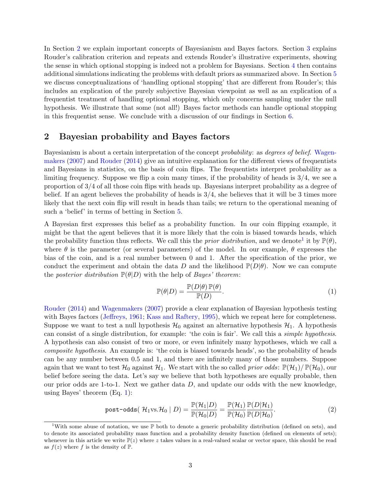In Section [2](#page-2-0) we explain important concepts of Bayesianism and Bayes factors. Section [3](#page-3-0) explains Rouder's calibration criterion and repeats and extends Rouder's illustrative experiments, showing the sense in which optional stopping is indeed not a problem for Bayesians. Section [4](#page-8-0) then contains additional simulations indicating the problems with default priors as summarized above. In Section [5](#page-17-0) we discuss conceptualizations of 'handling optional stopping' that are different from Rouder's; this includes an explication of the purely subjective Bayesian viewpoint as well as an explication of a frequentist treatment of handling optional stopping, which only concerns sampling under the null hypothesis. We illustrate that some (not all!) Bayes factor methods can handle optional stopping in this frequentist sense. We conclude with a discussion of our findings in Section [6.](#page-20-0)

## <span id="page-2-0"></span>2 Bayesian probability and Bayes factors

Bayesianism is about a certain interpretation of the concept *probability*: as *degrees of belief.* [Wagen](#page-25-7)[makers](#page-25-7) [\(2007\)](#page-25-7) and [Rouder](#page-24-0) [\(2014\)](#page-24-0) give an intuitive explanation for the different views of frequentists and Bayesians in statistics, on the basis of coin flips. The frequentists interpret probability as a limiting frequency. Suppose we flip a coin many times, if the probability of heads is  $3/4$ , we see a proportion of 3/4 of all those coin flips with heads up. Bayesians interpret probability as a degree of belief. If an agent believes the probability of heads is 3/4, she believes that it will be 3 times more likely that the next coin flip will result in heads than tails; we return to the operational meaning of such a 'belief' in terms of betting in Section [5.](#page-17-0)

A Bayesian first expresses this belief as a probability function. In our coin flipping example, it might be that the agent believes that it is more likely that the coin is biased towards heads, which the probability function thus reflects. We call this the *prior distribution*, and we denote<sup>[1](#page-2-1)</sup> it by  $\mathbb{P}(\theta)$ , where  $\theta$  is the parameter (or several parameters) of the model. In our example,  $\theta$  expresses the bias of the coin, and is a real number between 0 and 1. After the specification of the prior, we conduct the experiment and obtain the data D and the likelihood  $\mathbb{P}(D|\theta)$ . Now we can compute the posterior distribution  $\mathbb{P}(\theta|D)$  with the help of Bayes' theorem:

<span id="page-2-3"></span><span id="page-2-2"></span>
$$
\mathbb{P}(\theta|D) = \frac{\mathbb{P}(D|\theta)\,\mathbb{P}(\theta)}{\mathbb{P}(D)}.
$$
\n(1)

[Rouder](#page-24-0) [\(2014\)](#page-24-0) and [Wagenmakers](#page-25-7) [\(2007\)](#page-25-7) provide a clear explanation of Bayesian hypothesis testing with Bayes factors [\(Jeffreys,](#page-24-5) [1961;](#page-24-5) [Kass and Raftery,](#page-24-6) [1995\)](#page-24-6), which we repeat here for completeness. Suppose we want to test a null hypothesis  $\mathcal{H}_0$  against an alternative hypothesis  $\mathcal{H}_1$ . A hypothesis can consist of a single distribution, for example: 'the coin is fair'. We call this a simple hypothesis. A hypothesis can also consist of two or more, or even infinitely many hypotheses, which we call a composite hypothesis. An example is: 'the coin is biased towards heads', so the probability of heads can be any number between 0.5 and 1, and there are infinitely many of those numbers. Suppose again that we want to test  $\mathcal{H}_0$  against  $\mathcal{H}_1$ . We start with the so called prior odds:  $\mathbb{P}(\mathcal{H}_1)/\mathbb{P}(\mathcal{H}_0)$ , our belief before seeing the data. Let's say we believe that both hypotheses are equally probable, then our prior odds are 1-to-1. Next we gather data  $D$ , and update our odds with the new knowledge, using Bayes' theorem (Eq. [1\)](#page-2-2):

post-odds(
$$
\mathcal{H}_1
$$
vs. $\mathcal{H}_0 | D) = \frac{\mathbb{P}(\mathcal{H}_1 | D)}{\mathbb{P}(\mathcal{H}_0 | D)} = \frac{\mathbb{P}(\mathcal{H}_1)}{\mathbb{P}(\mathcal{H}_0)} \frac{\mathbb{P}(D | \mathcal{H}_1)}{\mathbb{P}(D | \mathcal{H}_0)}.$  (2)

<span id="page-2-1"></span><sup>&</sup>lt;sup>1</sup>With some abuse of notation, we use  $\mathbb P$  both to denote a generic probability distribution (defined on sets), and to denote its associated probability mass function and a probability density function (defined on elements of sets); whenever in this article we write  $\mathbb{P}(z)$  where z takes values in a real-valued scalar or vector space, this should be read as  $f(z)$  where f is the density of  $\mathbb{P}$ .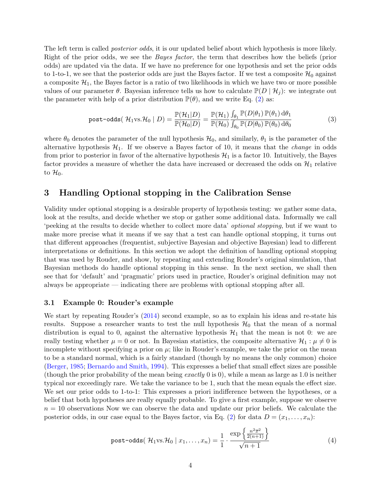The left term is called *posterior odds*, it is our updated belief about which hypothesis is more likely. Right of the prior odds, we see the Bayes factor, the term that describes how the beliefs (prior odds) are updated via the data. If we have no preference for one hypothesis and set the prior odds to 1-to-1, we see that the posterior odds are just the Bayes factor. If we test a composite  $\mathcal{H}_0$  against a composite  $\mathcal{H}_1$ , the Bayes factor is a ratio of two likelihoods in which we have two or more possible values of our parameter  $\theta$ . Bayesian inference tells us how to calculate  $\mathbb{P}(D \mid \mathcal{H}_i)$ : we integrate out the parameter with help of a prior distribution  $\mathbb{P}(\theta)$ , and we write Eq. [\(2\)](#page-2-3) as:

<span id="page-3-2"></span>post-odds(
$$
\mathcal{H}_1
$$
vs. $\mathcal{H}_0 | D) = \frac{\mathbb{P}(\mathcal{H}_1 | D)}{\mathbb{P}(\mathcal{H}_0 | D)} = \frac{\mathbb{P}(\mathcal{H}_1)}{\mathbb{P}(\mathcal{H}_0)} \frac{\int_{\theta_1} \mathbb{P}(D|\theta_1) \mathbb{P}(\theta_1) d\theta_1}{\int_{\theta_0} \mathbb{P}(D|\theta_0) \mathbb{P}(\theta_0) d\theta_0}$ (3)

where  $\theta_0$  denotes the parameter of the null hypothesis  $\mathcal{H}_0$ , and similarly,  $\theta_1$  is the parameter of the alternative hypothesis  $\mathcal{H}_1$ . If we observe a Bayes factor of 10, it means that the *change* in odds from prior to posterior in favor of the alternative hypothesis  $\mathcal{H}_1$  is a factor 10. Intuitively, the Bayes factor provides a measure of whether the data have increased or decreased the odds on  $\mathcal{H}_1$  relative to  $\mathcal{H}_0$ .

## <span id="page-3-0"></span>3 Handling Optional stopping in the Calibration Sense

Validity under optional stopping is a desirable property of hypothesis testing: we gather some data, look at the results, and decide whether we stop or gather some additional data. Informally we call 'peeking at the results to decide whether to collect more data' optional stopping, but if we want to make more precise what it means if we say that a test can handle optional stopping, it turns out that different approaches (frequentist, subjective Bayesian and objective Bayesian) lead to different interpretations or definitions. In this section we adopt the definition of handling optional stopping that was used by Rouder, and show, by repeating and extending Rouder's original simulation, that Bayesian methods do handle optional stopping in this sense. In the next section, we shall then see that for 'default' and 'pragmatic' priors used in practice, Rouder's original definition may not always be appropriate — indicating there are problems with optional stopping after all.

#### 3.1 Example 0: Rouder's example

We start by repeating Rouder's [\(2014\)](#page-24-0) second example, so as to explain his ideas and re-state his results. Suppose a researcher wants to test the null hypothesis  $\mathcal{H}_0$  that the mean of a normal distribution is equal to 0, against the alternative hypothesis  $\mathcal{H}_1$  that the mean is not 0: we are really testing whether  $\mu = 0$  or not. In Bayesian statistics, the composite alternative  $\mathcal{H}_1 : \mu \neq 0$  is incomplete without specifying a prior on  $\mu$ ; like in Rouder's example, we take the prior on the mean to be a standard normal, which is a fairly standard (though by no means the only common) choice [\(Berger,](#page-23-6) [1985;](#page-23-6) [Bernardo and Smith,](#page-23-7) [1994\)](#page-23-7). This expresses a belief that small effect sizes are possible (though the prior probability of the mean being exactly 0 is 0), while a mean as large as 1.0 is neither typical nor exceedingly rare. We take the variance to be 1, such that the mean equals the effect size. We set our prior odds to 1-to-1: This expresses a priori indifference between the hypotheses, or a belief that both hypotheses are really equally probable. To give a first example, suppose we observe  $n = 10$  observations Now we can observe the data and update our prior beliefs. We calculate the posterior odds, in our case equal to the Bayes factor, via Eq. [\(2\)](#page-2-3) for data  $D = (x_1, \ldots, x_n)$ :

<span id="page-3-1"></span>post-odds(
$$
\mathcal{H}_1
$$
vs. $\mathcal{H}_0 | x_1, ..., x_n$ ) =  $\frac{1}{1} \cdot \frac{\exp\left\{\frac{n^2 \bar{x}^2}{2(n+1)}\right\}}{\sqrt{n+1}}$  (4)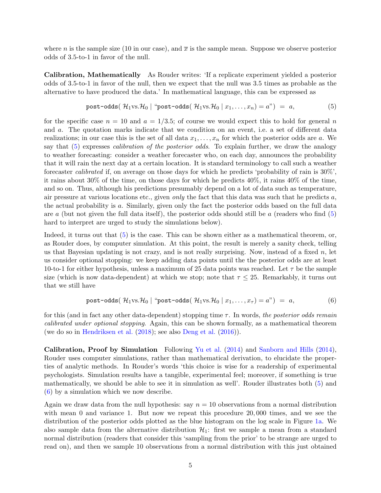where n is the sample size (10 in our case), and  $\bar{x}$  is the sample mean. Suppose we observe posterior odds of 3.5-to-1 in favor of the null.

Calibration, Mathematically As Rouder writes: 'If a replicate experiment yielded a posterior odds of 3.5-to-1 in favor of the null, then we expect that the null was 3.5 times as probable as the alternative to have produced the data.' In mathematical language, this can be expressed as

<span id="page-4-0"></span>post-odds(
$$
\mathcal{H}_1
$$
vs. $\mathcal{H}_0$ | "post-odds( $\mathcal{H}_1$ vs. $\mathcal{H}_0$ |  $x_1, ..., x_n$ ) =  $a$ ") =  $a$ , (5)

for the specific case  $n = 10$  and  $a = 1/3.5$ ; of course we would expect this to hold for general n and a. The quotation marks indicate that we condition on an event, i.e. a set of different data realizations; in our case this is the set of all data  $x_1, \ldots, x_n$  for which the posterior odds are a. We say that  $(5)$  expresses *calibration of the posterior odds*. To explain further, we draw the analogy to weather forecasting: consider a weather forecaster who, on each day, announces the probability that it will rain the next day at a certain location. It is standard terminology to call such a weather forecaster calibrated if, on average on those days for which he predicts 'probability of rain is 30%', it rains about 30% of the time, on those days for which he predicts 40%, it rains 40% of the time, and so on. Thus, although his predictions presumably depend on a lot of data such as temperature, air pressure at various locations etc., given only the fact that this data was such that he predicts  $a$ , the actual probability is a. Similarly, given only the fact the posterior odds based on the full data are a (but not given the full data itself), the posterior odds should still be a (readers who find  $(5)$ hard to interpret are urged to study the simulations below).

Indeed, it turns out that  $(5)$  is the case. This can be shown either as a mathematical theorem, or, as Rouder does, by computer simulation. At this point, the result is merely a sanity check, telling us that Bayesian updating is not crazy, and is not really surprising. Now, instead of a fixed  $n$ , let us consider optional stopping: we keep adding data points until the the posterior odds are at least 10-to-1 for either hypothesis, unless a maximum of 25 data points was reached. Let  $\tau$  be the sample size (which is now data-dependent) at which we stop; note that  $\tau \leq 25$ . Remarkably, it turns out that we still have

<span id="page-4-1"></span>post-odds(
$$
\mathcal{H}_1
$$
vs. $\mathcal{H}_0$ | "post-odds( $\mathcal{H}_1$ vs. $\mathcal{H}_0$ |  $x_1, ..., x_\tau$ ) =  $a$ " ) =  $a$ , (6)

for this (and in fact any other data-dependent) stopping time  $\tau$ . In words, the posterior odds remain calibrated under optional stopping. Again, this can be shown formally, as a mathematical theorem (we do so in [Hendriksen et al.](#page-24-4) [\(2018\)](#page-24-4); see also [Deng et al.](#page-23-2) [\(2016\)](#page-23-2)).

Calibration, Proof by Simulation Following [Yu et al.](#page-25-3) [\(2014\)](#page-25-3) and [Sanborn and Hills](#page-25-4) [\(2014\)](#page-25-4), Rouder uses computer simulations, rather than mathematical derivation, to elucidate the properties of analytic methods. In Rouder's words 'this choice is wise for a readership of experimental psychologists. Simulation results have a tangible, experimental feel; moreover, if something is true mathematically, we should be able to see it in simulation as well'. Rouder illustrates both [\(5\)](#page-4-0) and [\(6\)](#page-4-1) by a simulation which we now describe.

Again we draw data from the null hypothesis: say  $n = 10$  observations from a normal distribution with mean 0 and variance 1. But now we repeat this procedure 20,000 times, and we see the distribution of the posterior odds plotted as the blue histogram on the log scale in Figure [1a.](#page-6-0) We also sample data from the alternative distribution  $\mathcal{H}_1$ : first we sample a mean from a standard normal distribution (readers that consider this 'sampling from the prior' to be strange are urged to read on), and then we sample 10 observations from a normal distribution with this just obtained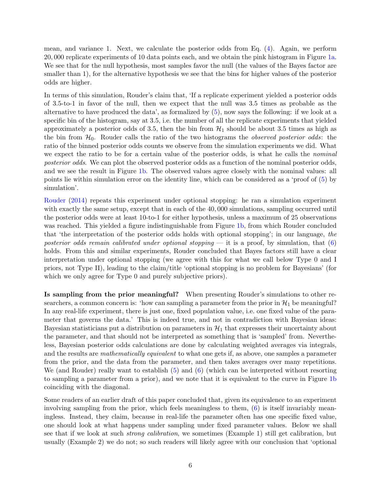mean, and variance 1. Next, we calculate the posterior odds from Eq. [\(4\)](#page-3-1). Again, we perform 20, 000 replicate experiments of 10 data points each, and we obtain the pink histogram in Figure [1a.](#page-6-0) We see that for the null hypothesis, most samples favor the null (the values of the Bayes factor are smaller than 1), for the alternative hypothesis we see that the bins for higher values of the posterior odds are higher.

In terms of this simulation, Rouder's claim that, 'If a replicate experiment yielded a posterior odds of 3.5-to-1 in favor of the null, then we expect that the null was 3.5 times as probable as the alternative to have produced the data', as formalized by [\(5\)](#page-4-0), now says the following: if we look at a specific bin of the histogram, say at 3.5, i.e. the number of all the replicate experiments that yielded approximately a posterior odds of 3.5, then the bin from  $\mathcal{H}_1$  should be about 3.5 times as high as the bin from  $\mathcal{H}_0$ . Rouder calls the ratio of the two histograms the *observed posterior odds*: the ratio of the binned posterior odds counts we observe from the simulation experiments we did. What we expect the ratio to be for a certain value of the posterior odds, is what he calls the *nominal* posterior odds. We can plot the observed posterior odds as a function of the nominal posterior odds, and we see the result in Figure [1b.](#page-6-0) The observed values agree closely with the nominal values: all points lie within simulation error on the identity line, which can be considered as a 'proof of [\(5\)](#page-4-0) by simulation'.

[Rouder](#page-24-0) [\(2014\)](#page-24-0) repeats this experiment under optional stopping: he ran a simulation experiment with exactly the same setup, except that in each of the 40,000 simulations, sampling occurred until the posterior odds were at least 10-to-1 for either hypothesis, unless a maximum of 25 observations was reached. This yielded a figure indistinguishable from Figure [1b,](#page-6-0) from which Rouder concluded that 'the interpretation of the posterior odds holds with optional stopping'; in our language, the posterior odds remain calibrated under optional stopping  $-$  it is a proof, by simulation, that  $(6)$ holds. From this and similar experiments, Rouder concluded that Bayes factors still have a clear interpretation under optional stopping (we agree with this for what we call below Type 0 and I priors, not Type II), leading to the claim/title 'optional stopping is no problem for Bayesians' (for which we only agree for Type 0 and purely subjective priors).

Is sampling from the prior meaningful? When presenting Rouder's simulations to other researchers, a common concern is: 'how can sampling a parameter from the prior in  $\mathcal{H}_1$  be meaningful? In any real-life experiment, there is just one, fixed population value, i.e. one fixed value of the parameter that governs the data.' This is indeed true, and not in contradiction with Bayesian ideas: Bayesian statisticians put a distribution on parameters in  $\mathcal{H}_1$  that expresses their uncertainty about the parameter, and that should not be interpreted as something that is 'sampled' from. Nevertheless, Bayesian posterior odds calculations are done by calculating weighted averages via integrals, and the results are *mathematically equivalent* to what one gets if, as above, one samples a parameter from the prior, and the data from the parameter, and then takes averages over many repetitions. We (and Rouder) really want to establish  $(5)$  and  $(6)$  (which can be interpreted without resorting to sampling a parameter from a prior), and we note that it is equivalent to the curve in Figure [1b](#page-6-0) coinciding with the diagonal.

Some readers of an earlier draft of this paper concluded that, given its equivalence to an experiment involving sampling from the prior, which feels meaningless to them, [\(6\)](#page-4-1) is itself invariably meaningless. Instead, they claim, because in real-life the parameter often has one specific fixed value, one should look at what happens under sampling under fixed parameter values. Below we shall see that if we look at such strong calibration, we sometimes (Example 1) still get calibration, but usually (Example 2) we do not; so such readers will likely agree with our conclusion that 'optional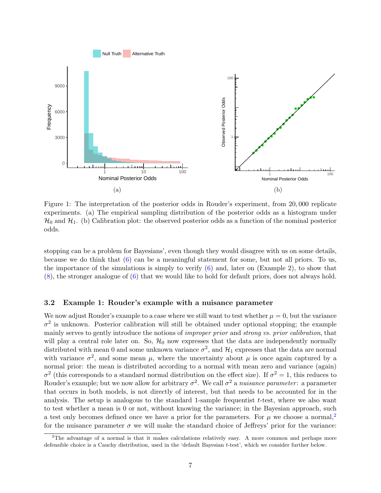<span id="page-6-0"></span>

Figure 1: The interpretation of the posterior odds in Rouder's experiment, from 20, 000 replicate experiments. (a) The empirical sampling distribution of the posterior odds as a histogram under  $\mathcal{H}_0$  and  $\mathcal{H}_1$ . (b) Calibration plot: the observed posterior odds as a function of the nominal posterior odds.

stopping can be a problem for Bayesians', even though they would disagree with us on some details, because we do think that [\(6\)](#page-4-1) can be a meaningful statement for some, but not all priors. To us, the importance of the simulations is simply to verify [\(6\)](#page-4-1) and, later on (Example 2), to show that [\(8\)](#page-7-0), the stronger analogue of [\(6\)](#page-4-1) that we would like to hold for default priors, does not always hold.

#### <span id="page-6-2"></span>3.2 Example 1: Rouder's example with a nuisance parameter

We now adjust Rouder's example to a case where we still want to test whether  $\mu = 0$ , but the variance  $\sigma^2$  is unknown. Posterior calibration will still be obtained under optional stopping; the example mainly serves to gently introduce the notions of improper prior and strong vs. prior calibration, that will play a central role later on. So,  $H_0$  now expresses that the data are independently normally distributed with mean 0 and some unknown variance  $\sigma^2$ , and  $\mathcal{H}_1$  expresses that the data are normal with variance  $\sigma^2$ , and some mean  $\mu$ , where the uncertainty about  $\mu$  is once again captured by a normal prior: the mean is distributed according to a normal with mean zero and variance (again)  $\sigma^2$  (this corresponds to a standard normal distribution on the effect size). If  $\sigma^2 = 1$ , this reduces to Rouder's example; but we now allow for arbitrary  $\sigma^2$ . We call  $\sigma^2$  a nuisance parameter: a parameter that occurs in both models, is not directly of interest, but that needs to be accounted for in the analysis. The setup is analogous to the standard 1-sample frequentist t-test, where we also want to test whether a mean is 0 or not, without knowing the variance; in the Bayesian approach, such a test only becomes defined once we have a prior for the parameters. For  $\mu$  we choose a normal,<sup>[2](#page-6-1)</sup> for the nuisance parameter  $\sigma$  we will make the standard choice of Jeffreys' prior for the variance:

<span id="page-6-1"></span><sup>&</sup>lt;sup>2</sup>The advantage of a normal is that it makes calculations relatively easy. A more common and perhaps more defensible choice is a Cauchy distribution, used in the 'default Bayesian t-test', which we consider further below.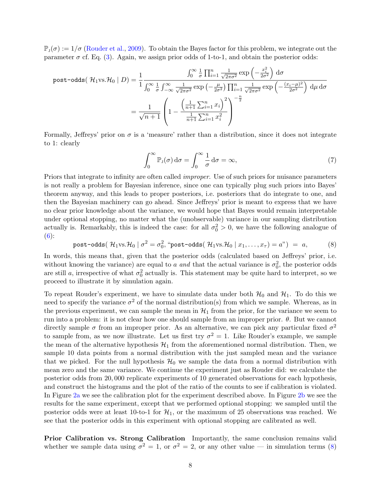$\mathbb{P}_1(\sigma) := 1/\sigma$  [\(Rouder et al.,](#page-24-1) [2009\)](#page-24-1). To obtain the Bayes factor for this problem, we integrate out the parameter  $\sigma$  cf. Eq. [\(3\)](#page-3-2). Again, we assign prior odds of 1-to-1, and obtain the posterior odds:

post-odds(
$$
\mathcal{H}_1
$$
vs. $\mathcal{H}_0 | D$ ) =  $\frac{1}{1} \frac{\int_0^\infty \frac{1}{\sigma} \prod_{i=1}^n \frac{1}{\sqrt{2\pi\sigma^2}} \exp\left(-\frac{x_i^2}{2\sigma^2}\right) d\sigma}{\int_0^\infty \frac{1}{\sigma} \int_{-\infty}^\infty \frac{1}{\sqrt{2\pi\sigma^2}} \exp\left(-\frac{\mu}{2\sigma^2}\right) \prod_{i=1}^n \frac{1}{\sqrt{2\pi\sigma^2}} \exp\left(-\frac{(x_i-\mu)^2}{2\sigma^2}\right) d\mu d\sigma}$   
=  $\frac{1}{\sqrt{n+1}} \left(1 - \frac{\left(\frac{1}{n+1} \sum_{i=1}^n x_i\right)^2}{\frac{1}{n+1} \sum_{i=1}^n x_i^2}\right)^{-\frac{n}{2}}$ 

Formally, Jeffreys' prior on  $\sigma$  is a 'measure' rather than a distribution, since it does not integrate to 1: clearly

$$
\int_0^\infty \mathbb{P}_J(\sigma) d\sigma = \int_0^\infty \frac{1}{\sigma} d\sigma = \infty,
$$
\n(7)

Priors that integrate to infinity are often called improper. Use of such priors for nuisance parameters is not really a problem for Bayesian inference, since one can typically plug such priors into Bayes' theorem anyway, and this leads to proper posteriors, i.e. posteriors that do integrate to one, and then the Bayesian machinery can go ahead. Since Jeffreys' prior is meant to express that we have no clear prior knowledge about the variance, we would hope that Bayes would remain interpretable under optional stopping, no matter what the (unobservable) variance in our sampling distribution actually is. Remarkably, this is indeed the case: for all  $\sigma_0^2 > 0$ , we have the following analogue of  $(6):$  $(6):$ 

<span id="page-7-0"></span>post-odds(
$$
\mathcal{H}_1
$$
vs. $\mathcal{H}_0 | \sigma^2 = \sigma_0^2$ , "post-odds( $\mathcal{H}_1$ vs. $\mathcal{H}_0 | x_1, \ldots, x_\tau = a$ ") =  $a$ , (8)

In words, this means that, given that the posterior odds (calculated based on Jeffreys' prior, i.e. without knowing the variance) are equal to a and that the actual variance is  $\sigma_0^2$ , the posterior odds are still a, irrespective of what  $\sigma_0^2$  actually is. This statement may be quite hard to interpret, so we proceed to illustrate it by simulation again.

To repeat Rouder's experiment, we have to simulate data under both  $\mathcal{H}_0$  and  $\mathcal{H}_1$ . To do this we need to specify the variance  $\sigma^2$  of the normal distribution(s) from which we sample. Whereas, as in the previous experiment, we can sample the mean in  $\mathcal{H}_1$  from the prior, for the variance we seem to run into a problem: it is not clear how one should sample from an improper prior.  $θ$ . But we cannot directly sample  $\sigma$  from an improper prior. As an alternative, we can pick any particular fixed  $\sigma^2$ to sample from, as we now illustrate. Let us first try  $\sigma^2 = 1$ . Like Rouder's example, we sample the mean of the alternative hypothesis  $\mathcal{H}_1$  from the aforementioned normal distribution. Then, we sample 10 data points from a normal distribution with the just sampled mean and the variance that we picked. For the null hypothesis  $\mathcal{H}_0$  we sample the data from a normal distribution with mean zero and the same variance. We continue the experiment just as Rouder did: we calculate the posterior odds from 20, 000 replicate experiments of 10 generated observations for each hypothesis, and construct the histograms and the plot of the ratio of the counts to see if calibration is violated. In Figure [2a](#page-9-0) we see the calibration plot for the experiment described above. In Figure [2b](#page-9-0) we see the results for the same experiment, except that we performed optional stopping: we sampled until the posterior odds were at least 10-to-1 for  $\mathcal{H}_1$ , or the maximum of 25 observations was reached. We see that the posterior odds in this experiment with optional stopping are calibrated as well.

Prior Calibration vs. Strong Calibration Importantly, the same conclusion remains valid whether we sample data using  $\sigma^2 = 1$ , or  $\sigma^2 = 2$ , or any other value — in simulation terms [\(8\)](#page-7-0)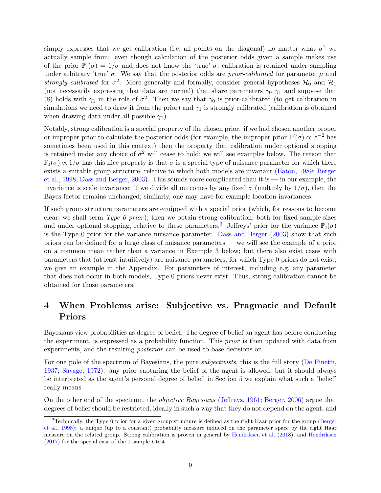simply expresses that we get calibration (i.e. all points on the diagonal) no matter what  $\sigma^2$  we actually sample from: even though calculation of the posterior odds given a sample makes use of the prior  $\mathbb{P}_{1}(\sigma) = 1/\sigma$  and does not know the 'true'  $\sigma$ , calibration is retained under sampling under arbitrary 'true'  $\sigma$ . We say that the posterior odds are *prior-calibrated* for parameter  $\mu$  and strongly calibrated for  $\sigma^2$ . More generally and formally, consider general hypotheses  $\mathcal{H}_0$  and  $\mathcal{H}_1$ (not necessarily expressing that data are normal) that share parameters  $\gamma_0, \gamma_1$  and suppose that [\(8\)](#page-7-0) holds with  $\gamma_1$  in the role of  $\sigma^2$ . Then we say that  $\gamma_0$  is prior-calibrated (to get calibration in simulations we need to draw it from the prior) and  $\gamma_1$  is strongly calibrated (calibration is obtained when drawing data under all possible  $\gamma_1$ ).

Notably, strong calibration is a special property of the chosen prior. if we had chosen another proper or improper prior to calculate the posterior odds (for example, the improper prior  $\mathbb{P}'(\sigma) \propto \sigma^{-2}$  has sometimes been used in this context) then the property that calibration under optional stopping is retained under any choice of  $\sigma^2$  will cease to hold; we will see examples below. The reason that  $\mathbb{P}_1(\sigma) \propto 1/\sigma$  has this nice property is that  $\sigma$  is a special type of nuisance parameter for which there exists a suitable group structure, relative to which both models are invariant [\(Eaton,](#page-23-8) [1989;](#page-23-8) [Berger](#page-23-9) [et al.,](#page-23-9) [1998;](#page-23-9) [Dass and Berger,](#page-23-10) [2003\)](#page-23-10). This sounds more complicated than it is — in our example, the invariance is scale invariance: if we divide all outcomes by any fixed  $\sigma$  (multiply by  $1/\sigma$ ), then the Bayes factor remains unchanged; similarly, one may have for example location invariances.

If such group structure parameters are equipped with a special prior (which, for reasons to become clear, we shall term Type 0 prior), then we obtain strong calibration, both for fixed sample sizes and under optional stopping, relative to these parameters.<sup>[3](#page-8-1)</sup> Jeffreys' prior for the variance  $\mathbb{P}_{J}(\sigma)$ is the Type 0 prior for the variance nuisance parameter. [Dass and Berger](#page-23-10) [\(2003\)](#page-23-10) show that such priors can be defined for a large class of nuisance parameters — we will see the example of a prior on a common mean rather than a variance in Example 3 below; but there also exist cases with parameters that (at least intuitively) are nuisance parameters, for which Type 0 priors do not exist; we give an example in the Appendix. For parameters of interest, including e.g. any parameter that does not occur in both models, Type 0 priors never exist. Thus, strong calibration cannot be obtained for those parameters.

# <span id="page-8-0"></span>4 When Problems arise: Subjective vs. Pragmatic and Default Priors

Bayesians view probabilities as degree of belief. The degree of belief an agent has before conducting the experiment, is expressed as a probability function. This prior is then updated with data from experiments, and the resulting posterior can be used to base decisions on.

For one pole of the spectrum of Bayesians, the pure *subjectivists*, this is the full story [\(De Finetti,](#page-23-11) [1937;](#page-23-11) [Savage,](#page-25-5) [1972\)](#page-25-5): any prior capturing the belief of the agent is allowed, but it should always be interpreted as the agent's personal degree of belief; in Section [5](#page-17-0) we explain what such a 'belief' really means.

On the other end of the spectrum, the objective Bayesians [\(Jeffreys,](#page-24-5) [1961;](#page-24-5) [Berger,](#page-23-12) [2006\)](#page-23-12) argue that degrees of belief should be restricted, ideally in such a way that they do not depend on the agent, and

<span id="page-8-1"></span><sup>&</sup>lt;sup>3</sup>Technically, the Type 0 prior for a given group structure is defined as the right-Haar prior for the group [\(Berger](#page-23-9) [et al.,](#page-23-9) [1998\)](#page-23-9): a unique (up to a constant) probability measure induced on the parameter space by the right Haar measure on the related group. Strong calibration is proven in general by [Hendriksen et al.](#page-24-4) [\(2018\)](#page-24-4), and [Hendriksen](#page-24-7)  $(2017)$  for the special case of the 1-sample t-test.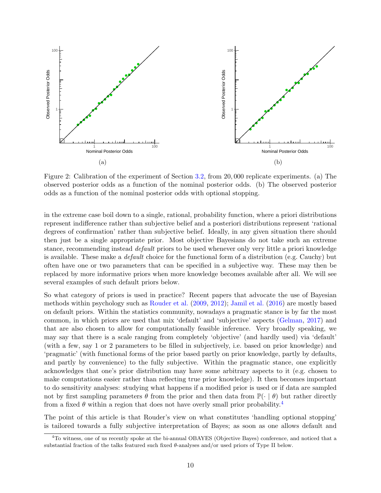<span id="page-9-0"></span>

Figure 2: Calibration of the experiment of Section [3.2,](#page-6-2) from 20, 000 replicate experiments. (a) The observed posterior odds as a function of the nominal posterior odds. (b) The observed posterior odds as a function of the nominal posterior odds with optional stopping.

in the extreme case boil down to a single, rational, probability function, where a priori distributions represent indifference rather than subjective belief and a posteriori distributions represent 'rational degrees of confirmation' rather than subjective belief. Ideally, in any given situation there should then just be a single appropriate prior. Most objective Bayesians do not take such an extreme stance, recommending instead *default* priors to be used whenever only very little a priori knowledge is available. These make a *default* choice for the functional form of a distribution (e.g. Cauchy) but often have one or two parameters that can be specified in a subjective way. These may then be replaced by more informative priors when more knowledge becomes available after all. We will see several examples of such default priors below.

So what category of priors is used in practice? Recent papers that advocate the use of Bayesian methods within psychology such as [Rouder et al.](#page-24-1) [\(2009,](#page-24-1) [2012\)](#page-25-1); [Jamil et al.](#page-24-2) [\(2016\)](#page-24-2) are mostly based on default priors. Within the statistics community, nowadays a pragmatic stance is by far the most common, in which priors are used that mix 'default' and 'subjective' aspects [\(Gelman,](#page-23-13) [2017\)](#page-23-13) and that are also chosen to allow for computationally feasible inference. Very broadly speaking, we may say that there is a scale ranging from completely 'objective' (and hardly used) via 'default' (with a few, say 1 or 2 parameters to be filled in subjectively, i.e. based on prior knowledge) and 'pragmatic' (with functional forms of the prior based partly on prior knowledge, partly by defaults, and partly by convenience) to the fully subjective. Within the pragmatic stance, one explicitly acknowledges that one's prior distribution may have some arbitrary aspects to it (e.g. chosen to make computations easier rather than reflecting true prior knowledge). It then becomes important to do sensitivity analyses: studying what happens if a modified prior is used or if data are sampled not by first sampling parameters  $\theta$  from the prior and then data from  $\mathbb{P}(\cdot | \theta)$  but rather directly from a fixed  $\theta$  within a region that does not have overly small prior probability.<sup>[4](#page-9-1)</sup>

The point of this article is that Rouder's view on what constitutes 'handling optional stopping' is tailored towards a fully subjective interpretation of Bayes; as soon as one allows default and

<span id="page-9-1"></span><sup>4</sup>To witness, one of us recently spoke at the bi-annual OBAYES (Objective Bayes) conference, and noticed that a substantial fraction of the talks featured such fixed  $\theta$ -analyses and/or used priors of Type II below.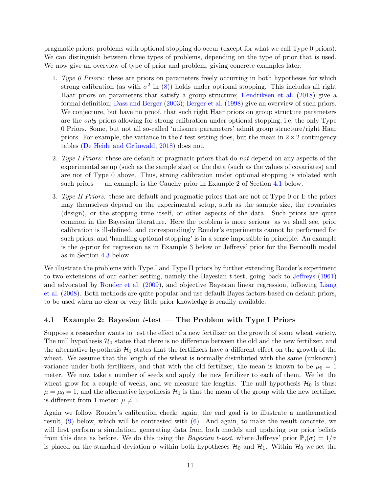pragmatic priors, problems with optional stopping do occur (except for what we call Type 0 priors). We can distinguish between three types of problems, depending on the type of prior that is used. We now give an overview of type of prior and problem, giving concrete examples later.

- 1. Type 0 Priors: these are priors on parameters freely occurring in both hypotheses for which strong calibration (as with  $\sigma^2$  in [\(8\)](#page-7-0)) holds under optional stopping. This includes all right Haar priors on parameters that satisfy a group structure; [Hendriksen et al.](#page-24-4) [\(2018\)](#page-24-4) give a formal definition; [Dass and Berger](#page-23-10) [\(2003\)](#page-23-10); [Berger et al.](#page-23-9) [\(1998\)](#page-23-9) give an overview of such priors. We conjecture, but have no proof, that such right Haar priors on group structure parameters are the only priors allowing for strong calibration under optional stopping, i.e. the only Type 0 Priors. Some, but not all so-called 'nuisance parameters' admit group structure/right Haar priors. For example, the variance in the t-test setting does, but the mean in  $2 \times 2$  contingency tables (De Heide and Grünwald, [2018\)](#page-24-8) does not.
- 2. Type I Priors: these are default or pragmatic priors that do not depend on any aspects of the experimental setup (such as the sample size) or the data (such as the values of covariates) and are not of Type 0 above. Thus, strong calibration under optional stopping is violated with such priors — an example is the Cauchy prior in Example 2 of Section [4.1](#page-10-0) below.
- 3. Type II Priors: these are default and pragmatic priors that are not of Type 0 or I: the priors may themselves depend on the experimental setup, such as the sample size, the covariates (design), or the stopping time itself, or other aspects of the data. Such priors are quite common in the Bayesian literature. Here the problem is more serious: as we shall see, prior calibration is ill-defined, and correspondingly Rouder's experiments cannot be performed for such priors, and 'handling optional stopping' is in a sense impossible in principle. An example is the g-prior for regression as in Example 3 below or Jeffreys' prior for the Bernoulli model as in Section [4.3](#page-17-1) below.

We illustrate the problems with Type I and Type II priors by further extending Rouder's experiment to two extensions of our earlier setting, namely the Bayesian t-test, going back to [Jeffreys](#page-24-5) [\(1961\)](#page-24-5) and advocated by [Rouder et al.](#page-24-1) [\(2009\)](#page-24-1), and objective Bayesian linear regression, following [Liang](#page-24-9) [et al.](#page-24-9) [\(2008\)](#page-24-9). Both methods are quite popular and use default Bayes factors based on default priors, to be used when no clear or very little prior knowledge is readily available.

# <span id="page-10-0"></span>4.1 Example 2: Bayesian t-test — The Problem with Type I Priors

Suppose a researcher wants to test the effect of a new fertilizer on the growth of some wheat variety. The null hypothesis  $\mathcal{H}_0$  states that there is no difference between the old and the new fertilizer, and the alternative hypothesis  $\mathcal{H}_1$  states that the fertilizers have a different effect on the growth of the wheat. We assume that the length of the wheat is normally distributed with the same (unknown) variance under both fertilizers, and that with the old fertilizer, the mean is known to be  $\mu_0 = 1$ meter. We now take a number of seeds and apply the new fertilizer to each of them. We let the wheat grow for a couple of weeks, and we measure the lengths. The null hypothesis  $\mathcal{H}_0$  is thus:  $\mu = \mu_0 = 1$ , and the alternative hypothesis  $\mathcal{H}_1$  is that the mean of the group with the new fertilizer is different from 1 meter:  $\mu \neq 1$ .

Again we follow Rouder's calibration check; again, the end goal is to illustrate a mathematical result, [\(9\)](#page-13-0) below, which will be contrasted with [\(6\)](#page-4-1). And again, to make the result concrete, we will first perform a simulation, generating data from both models and updating our prior beliefs from this data as before. We do this using the *Bayesian t-test*, where Jeffreys' prior  $\mathbb{P}_{1}(\sigma) = 1/\sigma$ is placed on the standard deviation  $\sigma$  within both hypotheses  $\mathcal{H}_0$  and  $\mathcal{H}_1$ . Within  $\mathcal{H}_0$  we set the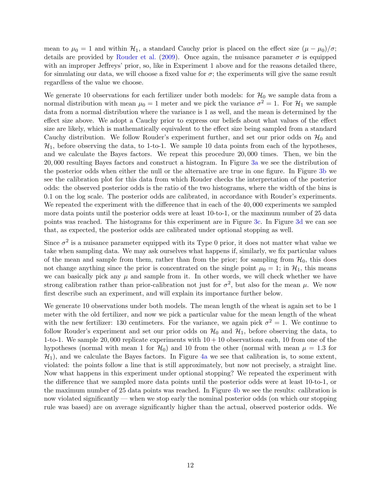mean to  $\mu_0 = 1$  and within  $\mathcal{H}_1$ , a standard Cauchy prior is placed on the effect size  $(\mu - \mu_0)/\sigma$ ; details are provided by [Rouder et al.](#page-24-1) [\(2009\)](#page-24-1). Once again, the nuisance parameter  $\sigma$  is equipped with an improper Jeffreys' prior, so, like in Experiment 1 above and for the reasons detailed there, for simulating our data, we will choose a fixed value for  $\sigma$ ; the experiments will give the same result regardless of the value we choose.

We generate 10 observations for each fertilizer under both models: for  $\mathcal{H}_0$  we sample data from a normal distribution with mean  $\mu_0 = 1$  meter and we pick the variance  $\sigma^2 = 1$ . For  $\mathcal{H}_1$  we sample data from a normal distribution where the variance is 1 as well, and the mean is determined by the effect size above. We adopt a Cauchy prior to express our beliefs about what values of the effect size are likely, which is mathematically equivalent to the effect size being sampled from a standard Cauchy distribution. We follow Rouder's experiment further, and set our prior odds on  $\mathcal{H}_0$  and  $\mathcal{H}_1$ , before observing the data, to 1-to-1. We sample 10 data points from each of the hypotheses, and we calculate the Bayes factors. We repeat this procedure 20, 000 times. Then, we bin the 20, 000 resulting Bayes factors and construct a histogram. In Figure [3a](#page-12-0) we see the distribution of the posterior odds when either the null or the alternative are true in one figure. In Figure [3b](#page-12-0) we see the calibration plot for this data from which Rouder checks the interpretation of the posterior odds: the observed posterior odds is the ratio of the two histograms, where the width of the bins is 0.1 on the log scale. The posterior odds are calibrated, in accordance with Rouder's experiments. We repeated the experiment with the difference that in each of the 40,000 experiments we sampled more data points until the posterior odds were at least 10-to-1, or the maximum number of 25 data points was reached. The histograms for this experiment are in Figure [3c.](#page-12-0) In Figure [3d](#page-12-0) we can see that, as expected, the posterior odds are calibrated under optional stopping as well.

Since  $\sigma^2$  is a nuisance parameter equipped with its Type 0 prior, it does not matter what value we take when sampling data. We may ask ourselves what happens if, similarly, we fix particular values of the mean and sample from them, rather than from the prior; for sampling from  $\mathcal{H}_0$ , this does not change anything since the prior is concentrated on the single point  $\mu_0 = 1$ ; in  $\mathcal{H}_1$ , this means we can basically pick any  $\mu$  and sample from it. In other words, we will check whether we have strong calibration rather than prior-calibration not just for  $\sigma^2$ , but also for the mean  $\mu$ . We now first describe such an experiment, and will explain its importance further below.

We generate 10 observations under both models. The mean length of the wheat is again set to be 1 meter with the old fertilizer, and now we pick a particular value for the mean length of the wheat with the new fertilizer: 130 centimeters. For the variance, we again pick  $\sigma^2 = 1$ . We continue to follow Rouder's experiment and set our prior odds on  $H_0$  and  $H_1$ , before observing the data, to 1-to-1. We sample 20,000 replicate experiments with  $10 + 10$  observations each, 10 from one of the hypotheses (normal with mean 1 for  $\mathcal{H}_0$ ) and 10 from the other (normal with mean  $\mu = 1.3$  for  $\mathcal{H}_1$ , and we calculate the Bayes factors. In Figure [4a](#page-13-1) we see that calibration is, to some extent, violated: the points follow a line that is still approximately, but now not precisely, a straight line. Now what happens in this experiment under optional stopping? We repeated the experiment with the difference that we sampled more data points until the posterior odds were at least 10-to-1, or the maximum number of 25 data points was reached. In Figure [4b](#page-13-1) we see the results: calibration is now violated significantly — when we stop early the nominal posterior odds (on which our stopping rule was based) are on average significantly higher than the actual, observed posterior odds. We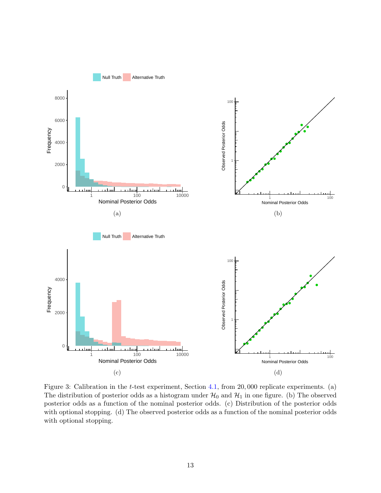<span id="page-12-0"></span>

Figure 3: Calibration in the t-test experiment, Section [4.1,](#page-10-0) from 20, 000 replicate experiments. (a) The distribution of posterior odds as a histogram under  $\mathcal{H}_0$  and  $\mathcal{H}_1$  in one figure. (b) The observed posterior odds as a function of the nominal posterior odds. (c) Distribution of the posterior odds with optional stopping. (d) The observed posterior odds as a function of the nominal posterior odds with optional stopping.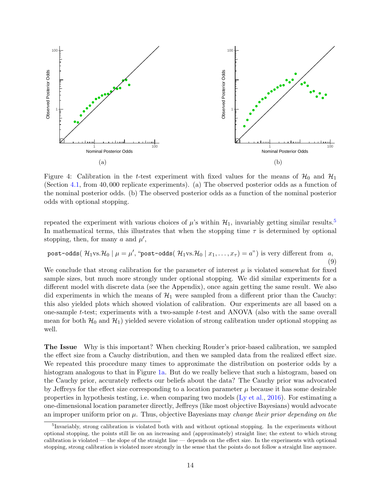<span id="page-13-1"></span>

Figure 4: Calibration in the t-test experiment with fixed values for the means of  $\mathcal{H}_0$  and  $\mathcal{H}_1$ (Section [4.1,](#page-10-0) from 40, 000 replicate experiments). (a) The observed posterior odds as a function of the nominal posterior odds. (b) The observed posterior odds as a function of the nominal posterior odds with optional stopping.

repeated the experiment with various choices of  $\mu$ 's within  $\mathcal{H}_1$ , invariably getting similar results.<sup>[5](#page-13-2)</sup> In mathematical terms, this illustrates that when the stopping time  $\tau$  is determined by optional stopping, then, for many a and  $\mu'$ ,

<span id="page-13-0"></span>post-odds(
$$
\mathcal{H}_1
$$
vs. $\mathcal{H}_0 \mid \mu = \mu'$ , "post-odds( $\mathcal{H}_1$ vs. $\mathcal{H}_0 \mid x_1, ..., x_\tau$ ) = a") is very different from  $a$ , (9)

We conclude that strong calibration for the parameter of interest  $\mu$  is violated somewhat for fixed sample sizes, but much more strongly under optional stopping. We did similar experiments for a different model with discrete data (see the Appendix), once again getting the same result. We also did experiments in which the means of  $\mathcal{H}_1$  were sampled from a different prior than the Cauchy: this also yielded plots which showed violation of calibration. Our experiments are all based on a one-sample  $t$ -test; experiments with a two-sample  $t$ -test and ANOVA (also with the same overall mean for both  $\mathcal{H}_0$  and  $\mathcal{H}_1$ ) yielded severe violation of strong calibration under optional stopping as well.

The Issue Why is this important? When checking Rouder's prior-based calibration, we sampled the effect size from a Cauchy distribution, and then we sampled data from the realized effect size. We repeated this procedure many times to approximate the distribution on posterior odds by a histogram analogous to that in Figure [1a.](#page-6-0) But do we really believe that such a histogram, based on the Cauchy prior, accurately reflects our beliefs about the data? The Cauchy prior was advocated by Jeffreys for the effect size corresponding to a location parameter  $\mu$  because it has some desirable properties in hypothesis testing, i.e. when comparing two models [\(Ly et al.,](#page-24-10) [2016\)](#page-24-10). For estimating a one-dimensional location parameter directly, Jeffreys (like most objective Bayesians) would advocate an improper uniform prior on  $\mu$ . Thus, objective Bayesians may *change their prior depending on the* 

<span id="page-13-2"></span><sup>&</sup>lt;sup>5</sup>Invariably, strong calibration is violated both with and without optional stopping. In the experiments without optional stopping, the points still lie on an increasing and (approximately) straight line; the extent to which strong calibration is violated — the slope of the straight line — depends on the effect size. In the experiments with optional stopping, strong calibration is violated more strongly in the sense that the points do not follow a straight line anymore.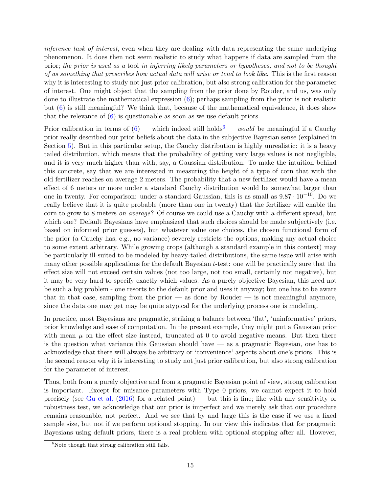inference task of interest, even when they are dealing with data representing the same underlying phenomenon. It does then not seem realistic to study what happens if data are sampled from the prior; the prior is used as a tool in inferring likely parameters or hypotheses, and not to be thought of as something that prescribes how actual data will arise or tend to look like. This is the first reason why it is interesting to study not just prior calibration, but also strong calibration for the parameter of interest. One might object that the sampling from the prior done by Rouder, and us, was only done to illustrate the mathematical expression  $(6)$ ; perhaps sampling from the prior is not realistic but [\(6\)](#page-4-1) is still meaningful? We think that, because of the mathematical equivalence, it does show that the relevance of  $(6)$  is questionable as soon as we use default priors.

Prior calibration in terms of  $(6)$  — which indeed still holds<sup>[6](#page-14-0)</sup> — would be meaningful if a Cauchy prior really described our prior beliefs about the data in the subjective Bayesian sense (explained in Section [5\)](#page-17-0). But in this particular setup, the Cauchy distribution is highly unrealistic: it is a heavy tailed distribution, which means that the probability of getting very large values is not negligible, and it is very much higher than with, say, a Gaussian distribution. To make the intuition behind this concrete, say that we are interested in measuring the height of a type of corn that with the old fertilizer reaches on average 2 meters. The probability that a new fertilizer would have a mean effect of 6 meters or more under a standard Cauchy distribution would be somewhat larger than one in twenty. For comparison: under a standard Gaussian, this is as small as 9.87 · 10−10. Do we really believe that it is quite probable (more than one in twenty) that the fertilizer will enable the corn to grow to 8 meters on average? Of course we could use a Cauchy with a different spread, but which one? Default Bayesians have emphasized that such choices should be made subjectively (i.e. based on informed prior guesses), but whatever value one choices, the chosen functional form of the prior (a Cauchy has, e.g., no variance) severely restricts the options, making any actual choice to some extent arbitrary. While growing crops (although a standard example in this context) may be particularly ill-suited to be modeled by heavy-tailed distributions, the same issue will arise with many other possible applications for the default Bayesian t-test: one will be practically sure that the effect size will not exceed certain values (not too large, not too small, certainly not negative), but it may be very hard to specify exactly which values. As a purely objective Bayesian, this need not be such a big problem - one resorts to the default prior and uses it anyway; but one has to be aware that in that case, sampling from the prior — as done by Rouder — is not meaningful anymore, since the data one may get may be quite atypical for the underlying process one is modeling.

In practice, most Bayesians are pragmatic, striking a balance between 'flat', 'uninformative' priors, prior knowledge and ease of computation. In the present example, they might put a Gaussian prior with mean  $\mu$  on the effect size instead, truncated at 0 to avoid negative means. But then there is the question what variance this Gaussian should have — as a pragmatic Bayesian, one has to acknowledge that there will always be arbitrary or 'convenience' aspects about one's priors. This is the second reason why it is interesting to study not just prior calibration, but also strong calibration for the parameter of interest.

Thus, both from a purely objective and from a pragmatic Bayesian point of view, strong calibration is important. Except for nuisance parameters with Type 0 priors, we cannot expect it to hold precisely (see [Gu et al.](#page-24-11) [\(2016\)](#page-24-11) for a related point) — but this is fine; like with any sensitivity or robustness test, we acknowledge that our prior is imperfect and we merely ask that our procedure remains reasonable, not perfect. And we see that by and large this is the case if we use a fixed sample size, but not if we perform optional stopping. In our view this indicates that for pragmatic Bayesians using default priors, there is a real problem with optional stopping after all. However,

<span id="page-14-0"></span> ${}^{6}$ Note though that strong calibration still fails.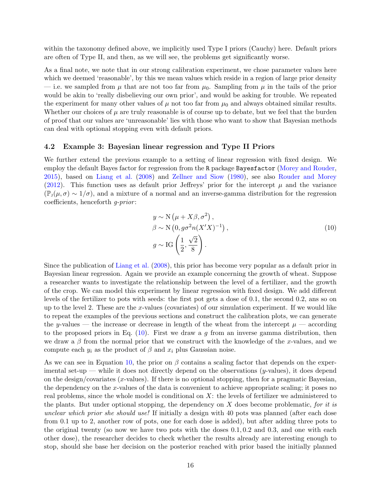within the taxonomy defined above, we implicitly used Type I priors (Cauchy) here. Default priors are often of Type II, and then, as we will see, the problems get significantly worse.

As a final note, we note that in our strong calibration experiment, we chose parameter values here which we deemed 'reasonable', by this we mean values which reside in a region of large prior density — i.e. we sampled from  $\mu$  that are not too far from  $\mu_0$ . Sampling from  $\mu$  in the tails of the prior would be akin to 'really disbelieving our own prior', and would be asking for trouble. We repeated the experiment for many other values of  $\mu$  not too far from  $\mu_0$  and always obtained similar results. Whether our choices of  $\mu$  are truly reasonable is of course up to debate, but we feel that the burden of proof that our values are 'unreasonable' lies with those who want to show that Bayesian methods can deal with optional stopping even with default priors.

#### <span id="page-15-1"></span>4.2 Example 3: Bayesian linear regression and Type II Priors

We further extend the previous example to a setting of linear regression with fixed design. We employ the default Bayes factor for regression from the R package Bayesfactor [\(Morey and Rouder,](#page-24-12) [2015\)](#page-24-12), based on [Liang et al.](#page-24-9) [\(2008\)](#page-24-9) and [Zellner and Siow](#page-25-8) [\(1980\)](#page-25-8), see also [Rouder and Morey](#page-24-13) [\(2012\)](#page-24-13). This function uses as default prior Jeffreys' prior for the intercept  $\mu$  and the variance  $(\mathbb{P}_{\mathfrak{I}}(\mu,\sigma) \sim 1/\sigma)$ , and a mixture of a normal and an inverse-gamma distribution for the regression coefficients, henceforth *q-prior*:

<span id="page-15-0"></span>
$$
y \sim N(\mu + X\beta, \sigma^2),
$$
  
\n
$$
\beta \sim N(0, g\sigma^2 n(X'X)^{-1}),
$$
  
\n
$$
g \sim IG\left(\frac{1}{2}, \frac{\sqrt{2}}{8}\right).
$$
\n(10)

Since the publication of [Liang et al.](#page-24-9) [\(2008\)](#page-24-9), this prior has become very popular as a default prior in Bayesian linear regression. Again we provide an example concerning the growth of wheat. Suppose a researcher wants to investigate the relationship between the level of a fertilizer, and the growth of the crop. We can model this experiment by linear regression with fixed design. We add different levels of the fertilizer to pots with seeds: the first pot gets a dose of 0.1, the second 0.2, ans so on up to the level 2. These are the x-values (covariates) of our simulation experiment. If we would like to repeat the examples of the previous sections and construct the calibration plots, we can generate the y-values — the increase or decrease in length of the wheat from the intercept  $\mu$  — according to the proposed priors in Eq.  $(10)$ . First we draw a g from an inverse gamma distribution, then we draw a  $\beta$  from the normal prior that we construct with the knowledge of the x-values, and we compute each  $y_i$  as the product of  $\beta$  and  $x_i$  plus Gaussian noise.

As we can see in Equation [10,](#page-15-0) the prior on  $\beta$  contains a scaling factor that depends on the experimental set-up — while it does not directly depend on the observations  $(y$ -values), it does depend on the design/covariates  $(x$ -values). If there is no optional stopping, then for a pragmatic Bayesian, the dependency on the x-values of the data is convenient to achieve appropriate scaling; it poses no real problems, since the whole model is conditional on  $X$ : the levels of fertilizer we administered to the plants. But under optional stopping, the dependency on  $X$  does become problematic, for it is unclear which prior she should use! If initially a design with 40 pots was planned (after each dose from 0.1 up to 2, another row of pots, one for each dose is added), but after adding three pots to the original twenty (so now we have two pots with the doses  $0.1, 0.2$  and  $0.3$ , and one with each other dose), the researcher decides to check whether the results already are interesting enough to stop, should she base her decision on the posterior reached with prior based the initially planned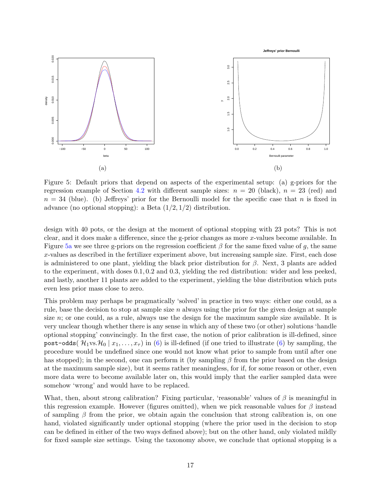<span id="page-16-0"></span>

Figure 5: Default priors that depend on aspects of the experimental setup: (a) g-priors for the regression example of Section [4.2](#page-15-1) with different sample sizes:  $n = 20$  (black),  $n = 23$  (red) and  $n = 34$  (blue). (b) Jeffreys' prior for the Bernoulli model for the specific case that n is fixed in advance (no optional stopping): a Beta  $(1/2, 1/2)$  distribution.

design with 40 pots, or the design at the moment of optional stopping with 23 pots? This is not clear, and it does make a difference, since the g-prior changes as more x-values become available. In Figure [5a](#page-16-0) we see three g-priors on the regression coefficient  $\beta$  for the same fixed value of g, the same x-values as described in the fertilizer experiment above, but increasing sample size. First, each dose is administered to one plant, yielding the black prior distribution for  $\beta$ . Next, 3 plants are added to the experiment, with doses 0.1, 0.2 and 0.3, yielding the red distribution: wider and less peeked, and lastly, another 11 plants are added to the experiment, yielding the blue distribution which puts even less prior mass close to zero.

This problem may perhaps be pragmatically 'solved' in practice in two ways: either one could, as a rule, base the decision to stop at sample size  $n$  always using the prior for the given design at sample size  $n$ ; or one could, as a rule, always use the design for the maximum sample size available. It is very unclear though whether there is any sense in which any of these two (or other) solutions 'handle optional stopping' convincingly. In the first case, the notion of prior calibration is ill-defined, since post-odds  $(H_1v, H_0 | x_1, \ldots, x_\tau)$  in [\(6\)](#page-4-1) is ill-defined (if one tried to illustrate (6) by sampling, the procedure would be undefined since one would not know what prior to sample from until after one has stopped); in the second, one can perform it (by sampling  $\beta$  from the prior based on the design at the maximum sample size), but it seems rather meaningless, for if, for some reason or other, even more data were to become available later on, this would imply that the earlier sampled data were somehow 'wrong' and would have to be replaced.

What, then, about strong calibration? Fixing particular, 'reasonable' values of  $\beta$  is meaningful in this regression example. However (figures omitted), when we pick reasonable values for  $\beta$  instead of sampling  $\beta$  from the prior, we obtain again the conclusion that strong calibration is, on one hand, violated significantly under optional stopping (where the prior used in the decision to stop can be defined in either of the two ways defined above); but on the other hand, only violated mildly for fixed sample size settings. Using the taxonomy above, we conclude that optional stopping is a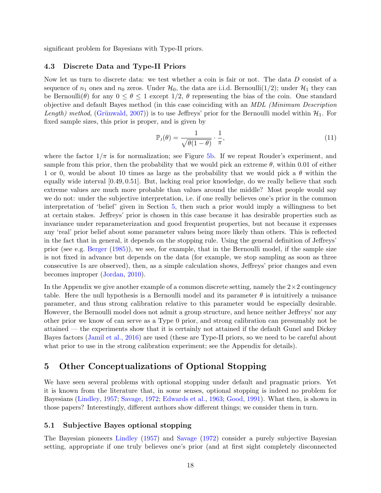significant problem for Bayesians with Type-II priors.

#### <span id="page-17-1"></span>4.3 Discrete Data and Type-II Priors

Now let us turn to discrete data: we test whether a coin is fair or not. The data D consist of a sequence of  $n_1$  ones and  $n_0$  zeros. Under  $\mathcal{H}_0$ , the data are i.i.d. Bernoulli(1/2); under  $\mathcal{H}_1$  they can be Bernoulli( $\theta$ ) for any  $0 \le \theta \le 1$  except 1/2,  $\theta$  representing the bias of the coin. One standard objective and default Bayes method (in this case coinciding with an MDL (Minimum Description *Length)* method, (Grünwald, [2007\)](#page-23-14) is to use Jeffreys' prior for the Bernoulli model within  $\mathcal{H}_1$ . For fixed sample sizes, this prior is proper, and is given by

<span id="page-17-2"></span>
$$
\mathbb{P}_{\mathbf{J}}(\theta) = \frac{1}{\sqrt{\theta(1-\theta)}} \cdot \frac{1}{\pi},\tag{11}
$$

where the factor  $1/\pi$  is for normalization; see Figure [5b.](#page-16-0) If we repeat Rouder's experiment, and sample from this prior, then the probability that we would pick an extreme  $\theta$ , within 0.01 of either 1 or 0, would be about 10 times as large as the probability that we would pick a  $\theta$  within the equally wide interval [0.49, 0.51]. But, lacking real prior knowledge, do we really believe that such extreme values are much more probable than values around the middle? Most people would say we do not: under the subjective interpretation, i.e. if one really believes one's prior in the common interpretation of 'belief' given in Section [5,](#page-17-0) then such a prior would imply a willingness to bet at certain stakes. Jeffreys' prior is chosen in this case because it has desirable properties such as invariance under reparameterization and good frequentist properties, but not because it expresses any 'real' prior belief about some parameter values being more likely than others. This is reflected in the fact that in general, it depends on the stopping rule. Using the general definition of Jeffreys' prior (see e.g. [Berger](#page-23-6) [\(1985\)](#page-23-6)), we see, for example, that in the Bernoulli model, if the sample size is not fixed in advance but depends on the data (for example, we stop sampling as soon as three consecutive 1s are observed), then, as a simple calculation shows, Jeffreys' prior changes and even becomes improper [\(Jordan,](#page-24-14) [2010\)](#page-24-14).

In the Appendix we give another example of a common discrete setting, namely the  $2\times 2$  contingency table. Here the null hypothesis is a Bernoulli model and its parameter  $\theta$  is intuitively a nuisance parameter, and thus strong calibration relative to this parameter would be especially desirable. However, the Bernoulli model does not admit a group structure, and hence neither Jeffreys' nor any other prior we know of can serve as a Type 0 prior, and strong calibration can presumably not be attained — the experiments show that it is certainly not attained if the default Gunel and Dickey Bayes factors [\(Jamil et al.,](#page-24-2) [2016\)](#page-24-2) are used (these are Type-II priors, so we need to be careful about what prior to use in the strong calibration experiment; see the Appendix for details).

## <span id="page-17-0"></span>5 Other Conceptualizations of Optional Stopping

We have seen several problems with optional stopping under default and pragmatic priors. Yet it is known from the literature that, in some senses, optional stopping is indeed no problem for Bayesians [\(Lindley,](#page-24-3) [1957;](#page-24-3) [Savage,](#page-25-5) [1972;](#page-25-5) [Edwards et al.,](#page-23-1) [1963;](#page-23-1) [Good,](#page-23-3) [1991\)](#page-23-3). What then, is shown in those papers? Interestingly, different authors show different things; we consider them in turn.

#### 5.1 Subjective Bayes optional stopping

The Bayesian pioneers [Lindley](#page-24-3) [\(1957\)](#page-24-3) and [Savage](#page-25-5) [\(1972\)](#page-25-5) consider a purely subjective Bayesian setting, appropriate if one truly believes one's prior (and at first sight completely disconnected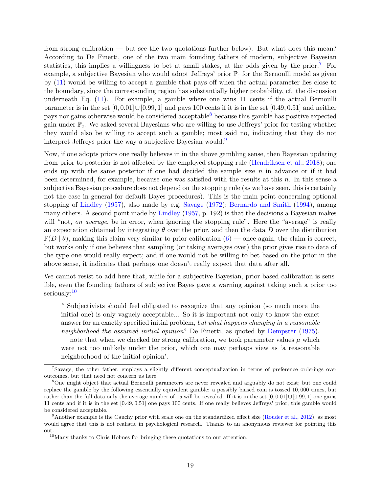from strong calibration — but see the two quotations further below). But what does this mean? According to De Finetti, one of the two main founding fathers of modern, subjective Bayesian statistics, this implies a willingness to bet at small stakes, at the odds given by the prior.[7](#page-18-0) For example, a subjective Bayesian who would adopt Jeffreys' prior  $\mathbb{P}_1$  for the Bernoulli model as given by [\(11\)](#page-17-2) would be willing to accept a gamble that pays off when the actual parameter lies close to the boundary, since the corresponding region has substantially higher probability, cf. the discussion underneath Eq. [\(11\)](#page-17-2). For example, a gamble where one wins 11 cents if the actual Bernoulli parameter is in the set  $[0, 0.01] \cup [0.99, 1]$  and pays 100 cents if it is in the set  $[0.49, 0.51]$  and neither pays nor gains otherwise would be considered acceptable[8](#page-18-1) because this gamble has positive expected gain under  $\mathbb{P}_1$ . We asked several Bayesians who are willing to use Jeffreys' prior for testing whether they would also be willing to accept such a gamble; most said no, indicating that they do not interpret Jeffreys prior the way a subjective Bayesian would.<sup>[9](#page-18-2)</sup>

Now, if one adopts priors one really believes in in the above gambling sense, then Bayesian updating from prior to posterior is not affected by the employed stopping rule [\(Hendriksen et al.,](#page-24-4) [2018\)](#page-24-4); one ends up with the same posterior if one had decided the sample size  $n$  in advance or if it had been determined, for example, because one was satisfied with the results at this  $n$ . In this sense a subjective Bayesian procedure does not depend on the stopping rule (as we have seen, this is certainly not the case in general for default Bayes procedures). This is the main point concerning optional stopping of [Lindley](#page-24-3) [\(1957\)](#page-24-3), also made by e.g. [Savage](#page-25-5) [\(1972\)](#page-25-5); [Bernardo and Smith](#page-23-7) [\(1994\)](#page-23-7), among many others. A second point made by [Lindley](#page-24-3) [\(1957,](#page-24-3) p. 192) is that the decisions a Bayesian makes will "not, on average, be in error, when ignoring the stopping rule". Here the "average" is really an expectation obtained by integrating  $\theta$  over the prior, and then the data D over the distribution  $\mathbb{P}(D \mid \theta)$ , making this claim very similar to prior calibration  $(6)$  — once again, the claim is correct, but works only if one believes that sampling (or taking averages over) the prior gives rise to data of the type one would really expect; and if one would not be willing to bet based on the prior in the above sense, it indicates that perhaps one doesn't really expect that data after all.

We cannot resist to add here that, while for a subjective Bayesian, prior-based calibration is sensible, even the founding fathers of subjective Bayes gave a warning against taking such a prior too seriously:<sup>[10](#page-18-3)</sup>

" Subjectivists should feel obligated to recognize that any opinion (so much more the initial one) is only vaguely acceptable... So it is important not only to know the exact answer for an exactly specified initial problem, but what happens changing in a reasonable neighborhood the assumed initial opinion" De Finetti, as quoted by [Dempster](#page-23-15) [\(1975\)](#page-23-15). — note that when we checked for strong calibration, we took parameter values  $\mu$  which were not too unlikely under the prior, which one may perhaps view as 'a reasonable neighborhood of the initial opinion'.

<span id="page-18-0"></span><sup>7</sup>Savage, the other father, employs a slightly different conceptualization in terms of preference orderings over outcomes, but that need not concern us here.

<span id="page-18-1"></span><sup>8</sup>One might object that actual Bernoulli parameters are never revealed and arguably do not exist; but one could replace the gamble by the following essentially equivalent gamble: a possibly biased coin is tossed 10, 000 times, but rather than the full data only the average number of 1s will be revealed. If it is in the set  $[0, 0.01] \cup [0.99, 1]$  one gains 11 cents and if it is in the set [0.49, 0.51] one pays 100 cents. If one really believes Jeffreys' prior, this gamble would be considered acceptable.

<span id="page-18-2"></span> $9$ Another example is the Cauchy prior with scale one on the standardized effect size [\(Rouder et al.,](#page-25-1) [2012\)](#page-25-1), as most would agree that this is not realistic in psychological research. Thanks to an anonymous reviewer for pointing this out.

<span id="page-18-3"></span> $10$ Many thanks to Chris Holmes for bringing these quotations to our attention.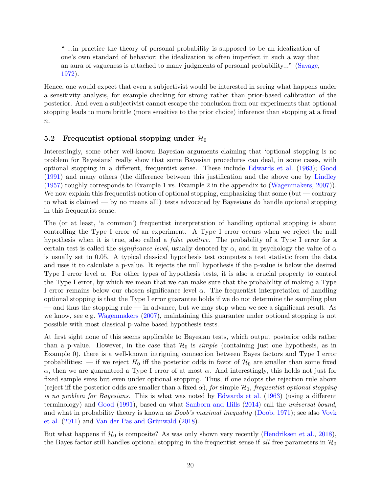" ...in practice the theory of personal probability is supposed to be an idealization of one's own standard of behavior; the idealization is often imperfect in such a way that an aura of vagueness is attached to many judgments of personal probability..." [\(Savage,](#page-25-5) [1972\)](#page-25-5).

Hence, one would expect that even a subjectivist would be interested in seeing what happens under a sensitivity analysis, for example checking for strong rather than prior-based calibration of the posterior. And even a subjectivist cannot escape the conclusion from our experiments that optional stopping leads to more brittle (more sensitive to the prior choice) inference than stopping at a fixed  $n$ .

## 5.2 Frequentist optional stopping under  $\mathcal{H}_0$

Interestingly, some other well-known Bayesian arguments claiming that 'optional stopping is no problem for Bayesians' really show that some Bayesian procedures can deal, in some cases, with optional stopping in a different, frequentist sense. These include [Edwards et al.](#page-23-1) [\(1963\)](#page-23-1); [Good](#page-23-3) [\(1991\)](#page-23-3) and many others (the difference between this justification and the above one by [Lindley](#page-24-3) [\(1957\)](#page-24-3) roughly corresponds to Example 1 vs. Example 2 in the appendix to [\(Wagenmakers,](#page-25-7) [2007\)](#page-25-7)). We now explain this frequentist notion of optional stopping, emphasizing that some (but — contrary to what is claimed — by no means all!) tests advocated by Bayesians do handle optional stopping in this frequentist sense.

The (or at least, 'a common') frequentist interpretation of handling optional stopping is about controlling the Type I error of an experiment. A Type I error occurs when we reject the null hypothesis when it is true, also called a *false positive*. The probability of a Type I error for a certain test is called the *significance level*, usually denoted by  $\alpha$ , and in psychology the value of  $\alpha$ is usually set to 0.05. A typical classical hypothesis test computes a test statistic from the data and uses it to calculate a p-value. It rejects the null hypothesis if the p-value is below the desired Type I error level  $\alpha$ . For other types of hypothesis tests, it is also a crucial property to control the Type I error, by which we mean that we can make sure that the probability of making a Type I error remains below our chosen significance level  $\alpha$ . The frequentist interpretation of handling optional stopping is that the Type I error guarantee holds if we do not determine the sampling plan — and thus the stopping rule — in advance, but we may stop when we see a significant result. As we know, see e.g. [Wagenmakers](#page-25-7) [\(2007\)](#page-25-7), maintaining this guarantee under optional stopping is not possible with most classical p-value based hypothesis tests.

At first sight none of this seems applicable to Bayesian tests, which output posterior odds rather than a p-value. However, in the case that  $\mathcal{H}_0$  is *simple* (containing just one hypothesis, as in Example 0), there is a well-known intriguing connection between Bayes factors and Type I error probabilities: — if we reject  $H_0$  iff the posterior odds in favor of  $\mathcal{H}_0$  are smaller than some fixed α, then we are guaranteed a Type I error of at most α. And interestingly, this holds not just for fixed sample sizes but even under optional stopping. Thus, if one adopts the rejection rule above (reject iff the posterior odds are smaller than a fixed  $\alpha$ ), for simple  $\mathcal{H}_0$ , frequentist optional stopping is no problem for Bayesians. This is what was noted by [Edwards et al.](#page-23-1) [\(1963\)](#page-23-1) (using a different terminology) and [Good](#page-23-3) [\(1991\)](#page-23-3), based on what [Sanborn and Hills](#page-25-4) [\(2014\)](#page-25-4) call the universal bound, and what in probability theory is known as Doob's maximal inequality [\(Doob,](#page-23-16) [1971\)](#page-23-16); see also [Vovk](#page-25-9) [et al.](#page-25-9)  $(2011)$  and Van der Pas and Grünwald  $(2018)$ .

But what happens if  $\mathcal{H}_0$  is composite? As was only shown very recently [\(Hendriksen et al.,](#page-24-4) [2018\)](#page-24-4), the Bayes factor still handles optional stopping in the frequentist sense if all free parameters in  $\mathcal{H}_0$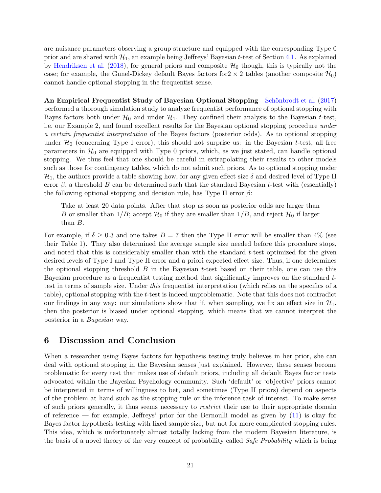are nuisance parameters observing a group structure and equipped with the corresponding Type 0 prior and are shared with  $\mathcal{H}_1$ , an example being Jeffreys' Bayesian t-test of Section [4.1.](#page-10-0) As explained by [Hendriksen et al.](#page-24-4) [\(2018\)](#page-24-4), for general priors and composite  $\mathcal{H}_0$  though, this is typically not the case; for example, the Gunel-Dickey default Bayes factors for  $2 \times 2$  tables (another composite  $\mathcal{H}_0$ ) cannot handle optional stopping in the frequentist sense.

An Empirical Frequentist Study of Bayesian Optional Stopping Schönbrodt et al. [\(2017\)](#page-25-10) performed a thorough simulation study to analyze frequentist performance of optional stopping with Bayes factors both under  $\mathcal{H}_0$  and under  $\mathcal{H}_1$ . They confined their analysis to the Bayesian t-test, i.e. our Example 2, and found excellent results for the Bayesian optional stopping procedure *under* a certain frequentist interpretation of the Bayes factors (posterior odds). As to optional stopping under  $\mathcal{H}_0$  (concerning Type I error), this should not surprise us: in the Bayesian t-test, all free parameters in  $\mathcal{H}_0$  are equipped with Type 0 priors, which, as we just stated, can handle optional stopping. We thus feel that one should be careful in extrapolating their results to other models such as those for contingency tables, which do not admit such priors. As to optional stopping under  $\mathcal{H}_1$ , the authors provide a table showing how, for any given effect size  $\delta$  and desired level of Type II error  $\beta$ , a threshold B can be determined such that the standard Bayesian t-test with (essentially) the following optional stopping and decision rule, has Type II error  $\beta$ :

Take at least 20 data points. After that stop as soon as posterior odds are larger than B or smaller than  $1/B$ ; accept  $\mathcal{H}_0$  if they are smaller than  $1/B$ , and reject  $\mathcal{H}_0$  if larger than B.

For example, if  $\delta \geq 0.3$  and one takes  $B = 7$  then the Type II error will be smaller than 4% (see their Table 1). They also determined the average sample size needed before this procedure stops, and noted that this is considerably smaller than with the standard  $t$ -test optimized for the given desired levels of Type I and Type II error and a priori expected effect size. Thus, if one determines the optional stopping threshold  $B$  in the Bayesian t-test based on their table, one can use this Bayesian procedure as a frequentist testing method that significantly improves on the standard ttest in terms of sample size. Under this frequentist interpretation (which relies on the specifics of a table), optional stopping with the t-test is indeed unproblematic. Note that this does not contradict our findings in any way: our simulations show that if, when sampling, we fix an effect size in  $\mathcal{H}_1$ , then the posterior is biased under optional stopping, which means that we cannot interpret the posterior in a Bayesian way.

# <span id="page-20-0"></span>6 Discussion and Conclusion

When a researcher using Bayes factors for hypothesis testing truly believes in her prior, she can deal with optional stopping in the Bayesian senses just explained. However, these senses become problematic for every test that makes use of default priors, including all default Bayes factor tests advocated within the Bayesian Psychology community. Such 'default' or 'objective' priors cannot be interpreted in terms of willingness to bet, and sometimes (Type II priors) depend on aspects of the problem at hand such as the stopping rule or the inference task of interest. To make sense of such priors generally, it thus seems necessary to restrict their use to their appropriate domain of reference — for example, Jeffreys' prior for the Bernoulli model as given by [\(11\)](#page-17-2) is okay for Bayes factor hypothesis testing with fixed sample size, but not for more complicated stopping rules. This idea, which is unfortunately almost totally lacking from the modern Bayesian literature, is the basis of a novel theory of the very concept of probability called Safe Probability which is being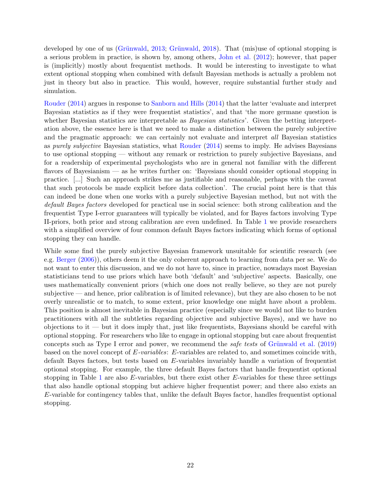developed by one of us (Grünwald, [2013;](#page-23-17) Grünwald, [2018\)](#page-23-4). That (mis)use of optional stopping is a serious problem in practice, is shown by, among others, [John et al.](#page-24-16) [\(2012\)](#page-24-16); however, that paper is (implicitly) mostly about frequentist methods. It would be interesting to investigate to what extent optional stopping when combined with default Bayesian methods is actually a problem not just in theory but also in practice. This would, however, require substantial further study and simulation.

[Rouder](#page-24-0) [\(2014\)](#page-24-0) argues in response to [Sanborn and Hills](#page-25-4) [\(2014\)](#page-25-4) that the latter 'evaluate and interpret Bayesian statistics as if they were frequentist statistics', and that 'the more germane question is whether Bayesian statistics are interpretable as *Bayesian statistics'*. Given the betting interpretation above, the essence here is that we need to make a distinction between the purely subjective and the pragmatic approach: we can certainly not evaluate and interpret all Bayesian statistics as purely subjective Bayesian statistics, what [Rouder](#page-24-0) [\(2014\)](#page-24-0) seems to imply. He advises Bayesians to use optional stopping — without any remark or restriction to purely subjective Bayesians, and for a readership of experimental psychologists who are in general not familiar with the different flavors of Bayesianism — as he writes further on: 'Bayesians should consider optional stopping in practice. [...] Such an approach strikes me as justifiable and reasonable, perhaps with the caveat that such protocols be made explicit before data collection'. The crucial point here is that this can indeed be done when one works with a purely subjective Bayesian method, but not with the default Bayes factors developed for practical use in social science: both strong calibration and the frequentist Type I-error guarantees will typically be violated, and for Bayes factors involving Type II-priors, both prior and strong calibration are even undefined. In Table [1](#page-22-0) we provide researchers with a simplified overview of four common default Bayes factors indicating which forms of optional stopping they can handle.

While some find the purely subjective Bayesian framework unsuitable for scientific research (see e.g. [Berger](#page-23-12) [\(2006\)](#page-23-12)), others deem it the only coherent approach to learning from data per se. We do not want to enter this discussion, and we do not have to, since in practice, nowadays most Bayesian statisticians tend to use priors which have both 'default' and 'subjective' aspects. Basically, one uses mathematically convenient priors (which one does not really believe, so they are not purely subjective — and hence, prior calibration is of limited relevance), but they are also chosen to be not overly unrealistic or to match, to some extent, prior knowledge one might have about a problem. This position is almost inevitable in Bayesian practice (especially since we would not like to burden practitioners with all the subtleties regarding objective and subjective Bayes), and we have no objections to it — but it does imply that, just like frequentists, Bayesians should be careful with optional stopping. For researchers who like to engage in optional stopping but care about frequentist concepts such as Type I error and power, we recommend the *safe tests* of Grünwald et al.  $(2019)$ based on the novel concept of E-variables: E-variables are related to, and sometimes coincide with, default Bayes factors, but tests based on E-variables invariably handle a variation of frequentist optional stopping. For example, the three default Bayes factors that handle frequentist optional stopping in Table [1](#page-22-0) are also  $E$ -variables, but there exist other  $E$ -variables for these three settings that also handle optional stopping but achieve higher frequentist power; and there also exists an  $E$ -variable for contingency tables that, unlike the default Bayes factor, handles frequentist optional stopping.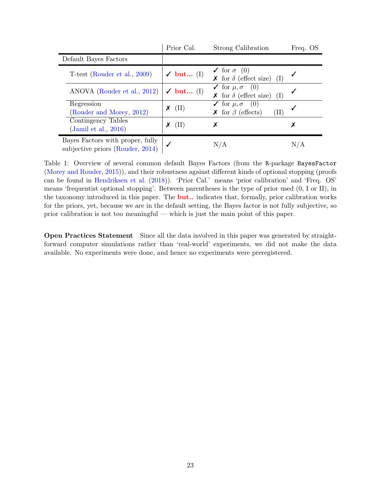<span id="page-22-0"></span>

|                                                                      | Prior Cal.           | Strong Calibration                                                             | Freq. OS |
|----------------------------------------------------------------------|----------------------|--------------------------------------------------------------------------------|----------|
| Default Bayes Factors                                                |                      |                                                                                |          |
| T-test (Rouder et al., 2009)                                         | $\checkmark$ but (I) | $\checkmark$ for $\sigma$ (0)<br>$\chi$ for $\delta$ (effect size) (I)         |          |
| ANOVA (Rouder et al., 2012)                                          | $\checkmark$ but (I) | $\checkmark$ for $\mu, \sigma$ (0)<br>$\chi$ for $\delta$ (effect size)<br>(1) |          |
| Regression<br>(Rouder and Morey, 2012)                               | (II)<br>Х            | $\checkmark$ for $\mu, \sigma$ (0)<br>$\chi$ for $\beta$ (effects)<br>$(\Pi)$  | ✓        |
| Contingency Tables<br>(Jamil et al., $2016$ )                        | (II)<br>X            | х                                                                              | х        |
| Bayes Factors with proper, fully<br>subjective priors (Rouder, 2014) |                      | N/A                                                                            | N/A      |

Table 1: Overview of several common default Bayes Factors (from the R-package BayesFactor [\(Morey and Rouder,](#page-24-12) [2015\)](#page-24-12)), and their robustness against different kinds of optional stopping (proofs can be found in [Hendriksen et al.](#page-24-4) [\(2018\)](#page-24-4)). 'Prior Cal.' means 'prior calibration' and 'Freq. OS' means 'frequentist optional stopping'. Between parentheses is the type of prior used (0, I or II), in the taxonomy introduced in this paper. The **but..** indicates that, formally, prior calibration works for the priors, yet, because we are in the default setting, the Bayes factor is not fully subjective, so prior calibration is not too meaningful — which is just the main point of this paper.

Open Practices Statement Since all the data involved in this paper was generated by straightforward computer simulations rather than 'real-world' experiments, we did not make the data available. No experiments were done, and hence no experiments were preregistered.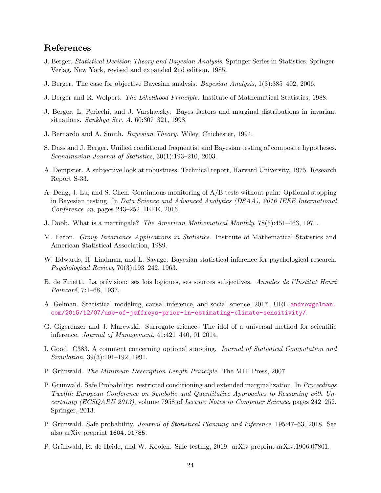# References

- <span id="page-23-6"></span>J. Berger. Statistical Decision Theory and Bayesian Analysis. Springer Series in Statistics. Springer-Verlag, New York, revised and expanded 2nd edition, 1985.
- <span id="page-23-12"></span>J. Berger. The case for objective Bayesian analysis. Bayesian Analysis, 1(3):385–402, 2006.
- <span id="page-23-5"></span>J. Berger and R. Wolpert. The Likelihood Principle. Institute of Mathematical Statistics, 1988.
- <span id="page-23-9"></span>J. Berger, L. Pericchi, and J. Varshavsky. Bayes factors and marginal distributions in invariant situations. Sankhya Ser. A, 60:307–321, 1998.
- <span id="page-23-7"></span>J. Bernardo and A. Smith. Bayesian Theory. Wiley, Chichester, 1994.
- <span id="page-23-10"></span>S. Dass and J. Berger. Unified conditional frequentist and Bayesian testing of composite hypotheses. Scandinavian Journal of Statistics, 30(1):193–210, 2003.
- <span id="page-23-15"></span>A. Dempster. A subjective look at robustness. Technical report, Harvard University, 1975. Research Report S-33.
- <span id="page-23-2"></span>A. Deng, J. Lu, and S. Chen. Continuous monitoring of A/B tests without pain: Optional stopping in Bayesian testing. In Data Science and Advanced Analytics (DSAA), 2016 IEEE International Conference on, pages 243–252. IEEE, 2016.
- <span id="page-23-16"></span>J. Doob. What is a martingale? The American Mathematical Monthly, 78(5):451–463, 1971.
- <span id="page-23-8"></span>M. Eaton. Group Invariance Applications in Statistics. Institute of Mathematical Statistics and American Statistical Association, 1989.
- <span id="page-23-1"></span>W. Edwards, H. Lindman, and L. Savage. Bayesian statistical inference for psychological research. Psychological Review, 70(3):193–242, 1963.
- <span id="page-23-11"></span>B. de Finetti. La prévision: ses lois logiques, ses sources subjectives. Annales de l'Institut Henri Poincaré, 7:1–68, 1937.
- <span id="page-23-13"></span>A. Gelman. Statistical modeling, causal inference, and social science, 2017. URL [andrewgelman.](andrewgelman.com/2015/12/07/use-of-jeffreys-prior-in-estimating-climate-sensitivity/) [com/2015/12/07/use-of-jeffreys-prior-in-estimating-climate-sensitivity/](andrewgelman.com/2015/12/07/use-of-jeffreys-prior-in-estimating-climate-sensitivity/).
- <span id="page-23-0"></span>G. Gigerenzer and J. Marewski. Surrogate science: The idol of a universal method for scientific inference. Journal of Management, 41:421–440, 01 2014.
- <span id="page-23-3"></span>I. Good. C383. A comment concerning optional stopping. Journal of Statistical Computation and Simulation, 39(3):191–192, 1991.
- <span id="page-23-14"></span>P. Grünwald. The Minimum Description Length Principle. The MIT Press, 2007.
- <span id="page-23-17"></span>P. Grünwald. Safe Probability: restricted conditioning and extended marginalization. In *Proceedings* Twelfth European Conference on Symbolic and Quantitative Approaches to Reasoning with Uncertainty (ECSQARU 2013), volume 7958 of Lecture Notes in Computer Science, pages 242–252. Springer, 2013.
- <span id="page-23-4"></span>P. Grünwald. Safe probability. Journal of Statistical Planning and Inference, 195:47–63, 2018. See also arXiv preprint 1604.01785.
- <span id="page-23-18"></span>P. Grünwald, R. de Heide, and W. Koolen. Safe testing, 2019. arXiv preprint arXiv:1906.07801.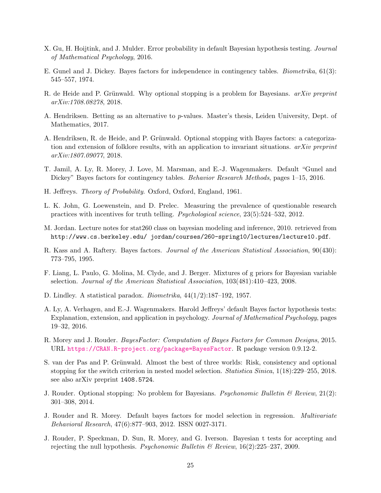- <span id="page-24-11"></span>X. Gu, H. Hoijtink, and J. Mulder. Error probability in default Bayesian hypothesis testing. Journal of Mathematical Psychology, 2016.
- <span id="page-24-17"></span>E. Gunel and J. Dickey. Bayes factors for independence in contingency tables. Biometrika, 61(3): 545–557, 1974.
- <span id="page-24-8"></span>R. de Heide and P. Grünwald. Why optional stopping is a problem for Bayesians.  $arXiv$  preprint arXiv:1708.08278, 2018.
- <span id="page-24-7"></span>A. Hendriksen. Betting as an alternative to p-values. Master's thesis, Leiden University, Dept. of Mathematics, 2017.
- <span id="page-24-4"></span>A. Hendriksen, R. de Heide, and P. Grünwald. Optional stopping with Bayes factors: a categorization and extension of folklore results, with an application to invariant situations.  $arXiv$  preprint arXiv:1807.09077, 2018.
- <span id="page-24-2"></span>T. Jamil, A. Ly, R. Morey, J. Love, M. Marsman, and E.-J. Wagenmakers. Default "Gunel and Dickey" Bayes factors for contingency tables. *Behavior Research Methods*, pages 1–15, 2016.
- <span id="page-24-5"></span>H. Jeffreys. Theory of Probability. Oxford, Oxford, England, 1961.
- <span id="page-24-16"></span>L. K. John, G. Loewenstein, and D. Prelec. Measuring the prevalence of questionable research practices with incentives for truth telling. Psychological science, 23(5):524–532, 2012.
- <span id="page-24-14"></span>M. Jordan. Lecture notes for stat260 class on bayesian modeling and inference, 2010. retrieved from http://www.cs.berkeley.edu/ jordan/courses/260-spring10/lectures/lecture10.pdf.
- <span id="page-24-6"></span>R. Kass and A. Raftery. Bayes factors. Journal of the American Statistical Association, 90(430): 773–795, 1995.
- <span id="page-24-9"></span>F. Liang, L. Paulo, G. Molina, M. Clyde, and J. Berger. Mixtures of g priors for Bayesian variable selection. Journal of the American Statistical Association, 103(481):410–423, 2008.
- <span id="page-24-3"></span>D. Lindley. A statistical paradox. Biometrika, 44(1/2):187–192, 1957.
- <span id="page-24-10"></span>A. Ly, A. Verhagen, and E.-J. Wagenmakers. Harold Jeffreys' default Bayes factor hypothesis tests: Explanation, extension, and application in psychology. Journal of Mathematical Psychology, pages 19–32, 2016.
- <span id="page-24-12"></span>R. Morey and J. Rouder. BayesFactor: Computation of Bayes Factors for Common Designs, 2015. URL <https://CRAN.R-project.org/package=BayesFactor>. R package version 0.9.12-2.
- <span id="page-24-15"></span>S. van der Pas and P. Grünwald. Almost the best of three worlds: Risk, consistency and optional stopping for the switch criterion in nested model selection. *Statistica Sinica*, 1(18):229–255, 2018. see also arXiv preprint 1408.5724.
- <span id="page-24-0"></span>J. Rouder. Optional stopping: No problem for Bayesians. *Psychonomic Bulletin*  $\mathcal{B}$  Review, 21(2): 301–308, 2014.
- <span id="page-24-13"></span>J. Rouder and R. Morey. Default bayes factors for model selection in regression. Multivariate Behavioral Research, 47(6):877–903, 2012. ISSN 0027-3171.
- <span id="page-24-1"></span>J. Rouder, P. Speckman, D. Sun, R. Morey, and G. Iverson. Bayesian t tests for accepting and rejecting the null hypothesis. *Psychonomic Bulletin*  $\mathscr B$  *Review*, 16(2):225–237, 2009.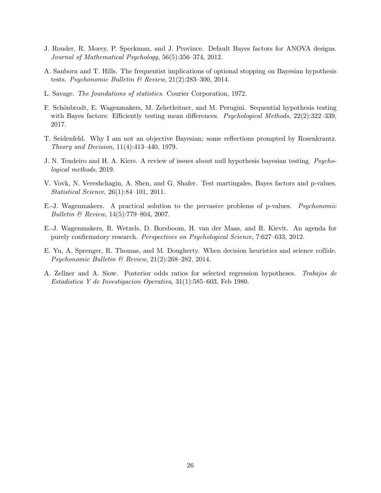- <span id="page-25-1"></span>J. Rouder, R. Morey, P. Speckman, and J. Province. Default Bayes factors for ANOVA designs. Journal of Mathematical Psychology, 56(5):356–374, 2012.
- <span id="page-25-4"></span>A. Sanborn and T. Hills. The frequentist implications of optional stopping on Bayesian hypothesis tests. Psychonomic Bulletin  $\mathcal B$  Review, 21(2):283-300, 2014.
- <span id="page-25-5"></span>L. Savage. The foundations of statistics. Courier Corporation, 1972.
- <span id="page-25-10"></span>F. Schönbrodt, E. Wagenmakers, M. Zehetleitner, and M. Perugini. Sequential hypothesis testing with Bayes factors: Efficiently testing mean differences. *Psychological Methods*, 22(2):322–339, 2017.
- <span id="page-25-6"></span>T. Seidenfeld. Why I am not an objective Bayesian; some reflections prompted by Rosenkrantz. Theory and Decision, 11(4):413–440, 1979.
- <span id="page-25-2"></span>J. N. Tendeiro and H. A. Kiers. A review of issues about null hypothesis bayesian testing. Psychological methods, 2019.
- <span id="page-25-9"></span>V. Vovk, N. Vereshchagin, A. Shen, and G. Shafer. Test martingales, Bayes factors and p-values. Statistical Science, 26(1):84–101, 2011.
- <span id="page-25-7"></span>E.-J. Wagenmakers. A practical solution to the pervasive problems of p-values. Psychonomic Bulletin & Review, 14(5):779–804, 2007.
- <span id="page-25-0"></span>E.-J. Wagenmakers, R. Wetzels, D. Borsboom, H. van der Maas, and R. Kievit. An agenda for purely confirmatory research. Perspectives on Psychological Science, 7:627–633, 2012.
- <span id="page-25-3"></span>E. Yu, A. Sprenger, R. Thomas, and M. Dougherty. When decision heuristics and science collide. Psychonomic Bulletin & Review,  $21(2):268-282$ , 2014.
- <span id="page-25-8"></span>A. Zellner and A. Siow. Posterior odds ratios for selected regression hypotheses. Trabajos de Estadistica Y de Investigacion Operativa, 31(1):585–603, Feb 1980.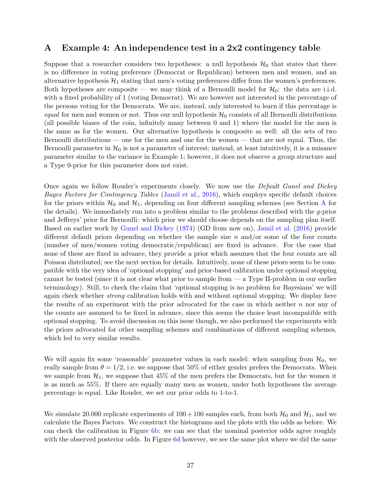### <span id="page-26-0"></span>A Example 4: An independence test in a 2x2 contingency table

Suppose that a researcher considers two hypotheses: a null hypothesis  $\mathcal{H}_0$  that states that there is no difference in voting preference (Democrat or Republican) between men and women, and an alternative hypothesis  $\mathcal{H}_1$  stating that men's voting preferences differ from the women's preferences. Both hypotheses are composite — we may think of a Bernoulli model for  $\mathcal{H}_0$ : the data are i.i.d. with a fixed probability of 1 (voting Democrat). We are however not interested in the percentage of the persons voting for the Democrats. We are, instead, only interested to learn if this percentage is equal for men and women or not. Thus our null hypothesis  $\mathcal{H}_0$  consists of all Bernoulli distributions (all possible biases of the coin, infinitely many between 0 and 1) where the model for the men is the same as for the women. Our alternative hypothesis is composite as well: all the sets of two Bernoulli distributions — one for the men and one for the women — that are not equal. Thus, the Bernoulli parameter in  $\mathcal{H}_0$  is not a parameter of interest; instead, at least intuitively, it is a nuisance parameter similar to the variance in Example 1; however, it does not observe a group structure and a Type 0-prior for this parameter does not exist.

Once again we follow Rouder's experiments closely. We now use the *Default Gunel and Dickey* Bayes Factors for Contingency Tables [\(Jamil et al.,](#page-24-2) [2016\)](#page-24-2), which employs specific default choices for the priors within  $\mathcal{H}_0$  and  $\mathcal{H}_1$ , depending on four different sampling schemes (see Section [A](#page-30-0) for the details). We immediately run into a problem similar to the problems described with the  $g$ -prior and Jeffreys' prior for Bernoulli: which prior we should choose depends on the sampling plan itself. Based on earlier work by [Gunel and Dickey](#page-24-17) [\(1974\)](#page-24-17) (GD from now on), [Jamil et al.](#page-24-2) [\(2016\)](#page-24-2) provide different default priors depending on whether the sample size n and/or some of the four counts (number of men/women voting democratic/republican) are fixed in advance. For the case that none of these are fixed in advance, they provide a prior which assumes that the four counts are all Poisson distributed; see the next section for details. Intuitively, none of these priors seem to be compatible with the very idea of 'optional stopping' and prior-based calibration under optional stopping cannot be tested (since it is not clear what prior to sample from  $-$  a Type II-problem in our earlier terminology). Still, to check the claim that 'optional stopping is no problem for Bayesians' we will again check whether strong calibration holds with and without optional stopping. We display here the results of an experiment with the prior advocated for the case in which neither  $n$  nor any of the counts are assumed to be fixed in advance, since this seems the choice least incompatible with optional stopping. To avoid discussion on this issue though, we also performed the experiments with the priors advocated for other sampling schemes and combinations of different sampling schemes, which led to very similar results.

We will again fix some 'reasonable' parameter values in each model: when sampling from  $\mathcal{H}_0$ , we really sample from  $\theta = 1/2$ , i.e. we suppose that 50% of either gender prefers the Democrats. When we sample from  $\mathcal{H}_1$ , we suppose that 45% of the men prefers the Democrats, but for the women it is as much as 55%. If there are equally many men as women, under both hypotheses the average percentage is equal. Like Rouder, we set our prior odds to 1-to-1.

We simulate 20.000 replicate experiments of  $100 + 100$  samples each, from both  $\mathcal{H}_0$  and  $\mathcal{H}_1$ , and we calculate the Bayes Factors. We construct the histograms and the plots with the odds as before. We can check the calibration in Figure [6b:](#page-28-0) we can see that the nominal posterior odds agree roughly with the observed posterior odds. In Figure [6d](#page-28-0) however, we see the same plot where we did the same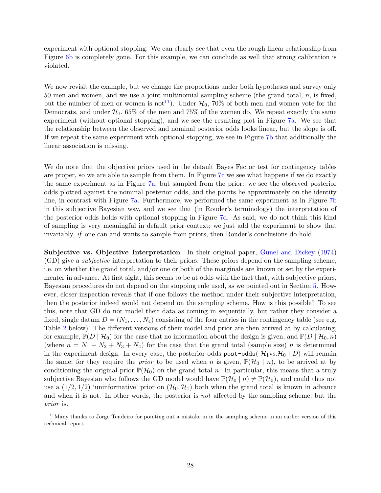experiment with optional stopping. We can clearly see that even the rough linear relationship from Figure [6b](#page-28-0) is completely gone. For this example, we can conclude as well that strong calibration is violated.

We now revisit the example, but we change the proportions under both hypotheses and survey only 50 men and women, and we use a joint multinomial sampling scheme (the grand total,  $n$ , is fixed, but the number of men or women is not<sup>[11](#page-27-0)</sup>). Under  $\mathcal{H}_0$ , 70% of both men and women vote for the Democrats, and under  $H_1$ , 65% of the men and 75% of the women do. We repeat exactly the same experiment (without optional stopping), and we see the resulting plot in Figure [7a.](#page-29-0) We see that the relationship between the observed and nominal posterior odds looks linear, but the slope is off. If we repeat the same experiment with optional stopping, we see in Figure [7b](#page-29-0) that additionally the linear association is missing.

We do note that the objective priors used in the default Bayes Factor test for contingency tables are proper, so we are able to sample from them. In Figure [7c](#page-29-0) we see what happens if we do exactly the same experiment as in Figure [7a,](#page-29-0) but sampled from the prior: we see the observed posterior odds plotted against the nominal posterior odds, and the points lie approximately on the identity line, in contrast with Figure [7a.](#page-29-0) Furthermore, we performed the same experiment as in Figure [7b](#page-29-0) in this subjective Bayesian way, and we see that (in Rouder's terminology) the interpretation of the posterior odds holds with optional stopping in Figure [7d.](#page-29-0) As said, we do not think this kind of sampling is very meaningful in default prior context; we just add the experiment to show that invariably, if one can and wants to sample from priors, then Rouder's conclusions do hold.

Subjective vs. Objective Interpretation In their original paper, [Gunel and Dickey](#page-24-17) [\(1974\)](#page-24-17) (GD) give a subjective interpretation to their priors. These priors depend on the sampling scheme, i.e. on whether the grand total, and/or one or both of the marginals are known or set by the experimenter in advance. At first sight, this seems to be at odds with the fact that, with subjective priors, Bayesian procedures do not depend on the stopping rule used, as we pointed out in Section [5.](#page-17-0) However, closer inspection reveals that if one follows the method under their subjective interpretation, then the posterior indeed would not depend on the sampling scheme. How is this possible? To see this, note that GD do not model their data as coming in sequentially, but rather they consider a fixed, single datum  $D = (N_1, \ldots, N_4)$  consisting of the four entries in the contingency table (see e.g. Table [2](#page-30-1) below). The different versions of their model and prior are then arrived at by calculating, for example,  $\mathbb{P}(D \mid \mathcal{H}_0)$  for the case that no information about the design is given, and  $\mathbb{P}(D \mid \mathcal{H}_0, n)$ (where  $n = N_1 + N_2 + N_3 + N_4$ ) for the case that the grand total (sample size) n is determined in the experiment design. In every case, the posterior odds  $post-odds$  ( $\mathcal{H}_1$ vs. $\mathcal{H}_0$  | D) will remain the same; for they require the *prior* to be used when n is given,  $\mathbb{P}(\mathcal{H}_0 | n)$ , to be arrived at by conditioning the original prior  $\mathbb{P}(\mathcal{H}_0)$  on the grand total n. In particular, this means that a truly subjective Bayesian who follows the GD model would have  $\mathbb{P}(\mathcal{H}_0 | n) \neq \mathbb{P}(\mathcal{H}_0)$ , and could thus not use a  $(1/2, 1/2)$  'uninformative' prior on  $(\mathcal{H}_0, \mathcal{H}_1)$  both when the grand total is known in advance and when it is not. In other words, the posterior is not affected by the sampling scheme, but the prior is.

<span id="page-27-0"></span><sup>&</sup>lt;sup>11</sup>Many thanks to Jorge Tendeiro for pointing out a mistake in in the sampling scheme in an earlier version of this technical report.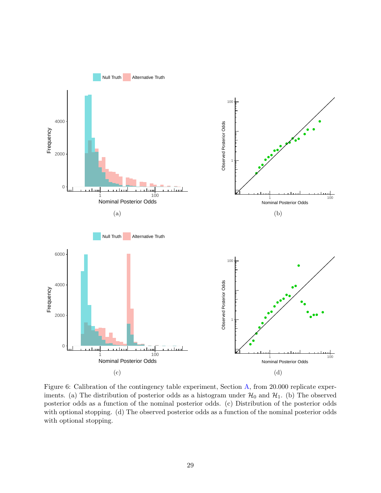<span id="page-28-0"></span>

Figure 6: Calibration of the contingency table experiment, Section [A,](#page-26-0) from 20.000 replicate experiments. (a) The distribution of posterior odds as a histogram under  $\mathcal{H}_0$  and  $\mathcal{H}_1$ . (b) The observed posterior odds as a function of the nominal posterior odds. (c) Distribution of the posterior odds with optional stopping. (d) The observed posterior odds as a function of the nominal posterior odds with optional stopping.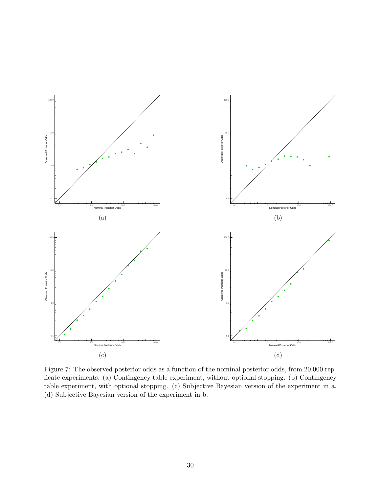<span id="page-29-0"></span>

Figure 7: The observed posterior odds as a function of the nominal posterior odds, from 20.000 replicate experiments. (a) Contingency table experiment, without optional stopping. (b) Contingency table experiment, with optional stopping. (c) Subjective Bayesian version of the experiment in a. (d) Subjective Bayesian version of the experiment in b.